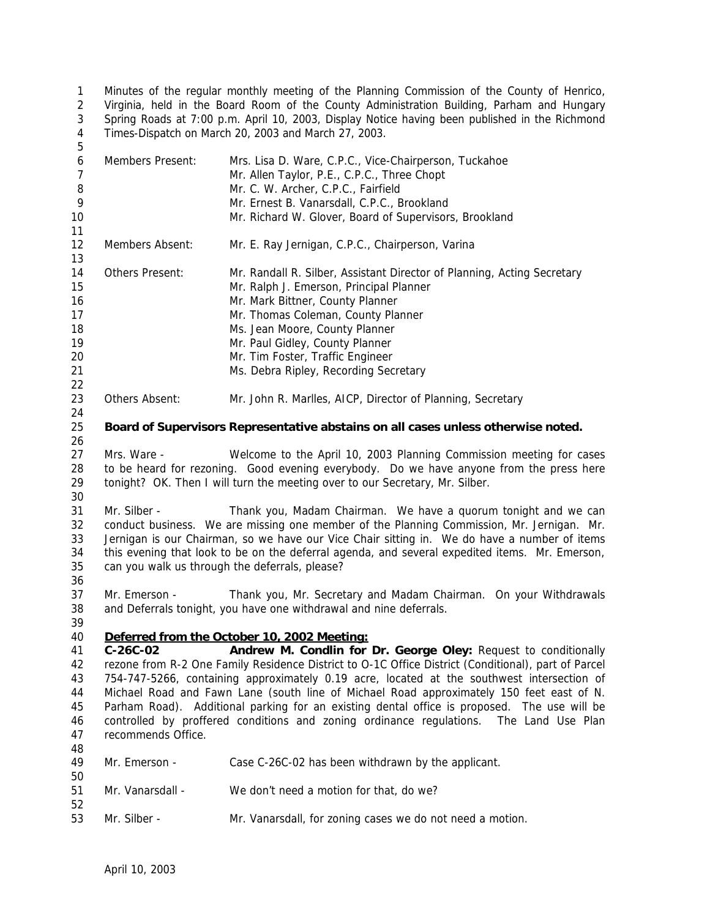Minutes of the regular monthly meeting of the Planning Commission of the County of Henrico, Virginia, held in the Board Room of the County Administration Building, Parham and Hungary Spring Roads at 7:00 p.m. April 10, 2003, Display Notice having been published in the Richmond Times-Dispatch on March 20, 2003 and March 27, 2003. 

| 6<br>$\overline{7}$ | Members Present:                                                                             | Mrs. Lisa D. Ware, C.P.C., Vice-Chairperson, Tuckahoe<br>Mr. Allen Taylor, P.E., C.P.C., Three Chopt |  |
|---------------------|----------------------------------------------------------------------------------------------|------------------------------------------------------------------------------------------------------|--|
| 8<br>9              |                                                                                              | Mr. C. W. Archer, C.P.C., Fairfield                                                                  |  |
|                     |                                                                                              | Mr. Ernest B. Vanarsdall, C.P.C., Brookland                                                          |  |
| 10                  |                                                                                              | Mr. Richard W. Glover, Board of Supervisors, Brookland                                               |  |
| 11<br>12<br>13      | Members Absent:                                                                              | Mr. E. Ray Jernigan, C.P.C., Chairperson, Varina                                                     |  |
| 14                  | Others Present:                                                                              | Mr. Randall R. Silber, Assistant Director of Planning, Acting Secretary                              |  |
| 15                  |                                                                                              | Mr. Ralph J. Emerson, Principal Planner                                                              |  |
| 16                  |                                                                                              | Mr. Mark Bittner, County Planner                                                                     |  |
| 17                  |                                                                                              | Mr. Thomas Coleman, County Planner                                                                   |  |
| 18                  |                                                                                              | Ms. Jean Moore, County Planner                                                                       |  |
| 19                  |                                                                                              | Mr. Paul Gidley, County Planner                                                                      |  |
| 20                  |                                                                                              | Mr. Tim Foster, Traffic Engineer                                                                     |  |
| 21                  |                                                                                              | Ms. Debra Ripley, Recording Secretary                                                                |  |
| 22                  |                                                                                              |                                                                                                      |  |
| 23                  | Others Absent:                                                                               | Mr. John R. Marlles, AICP, Director of Planning, Secretary                                           |  |
| 24                  |                                                                                              |                                                                                                      |  |
| 25                  |                                                                                              | Board of Supervisors Representative abstains on all cases unless otherwise noted.                    |  |
| 26                  |                                                                                              |                                                                                                      |  |
| 27                  | Mrs. Ware -                                                                                  | Welcome to the April 10, 2003 Planning Commission meeting for cases                                  |  |
| 28                  | to be heard for rezoning. Good evening everybody. Do we have anyone from the press here      |                                                                                                      |  |
| 29                  |                                                                                              | tonight? OK. Then I will turn the meeting over to our Secretary, Mr. Silber.                         |  |
| 30                  |                                                                                              |                                                                                                      |  |
| 31                  | Mr. Silber -                                                                                 | Thank you, Madam Chairman. We have a quorum tonight and we can                                       |  |
| 32                  |                                                                                              | conduct business. We are missing one member of the Planning Commission, Mr. Jernigan. Mr.            |  |
| 33                  | Jernigan is our Chairman, so we have our Vice Chair sitting in. We do have a number of items |                                                                                                      |  |
| 34                  |                                                                                              | this evening that look to be on the deferral agenda, and several expedited items. Mr. Emerson,       |  |
| 35                  | can you walk us through the deferrals, please?                                               |                                                                                                      |  |
| 36                  |                                                                                              |                                                                                                      |  |
| 37                  | Mr. Emerson -                                                                                | Thank you, Mr. Secretary and Madam Chairman. On your Withdrawals                                     |  |
| 38                  |                                                                                              | and Deferrals tonight, you have one withdrawal and nine deferrals.                                   |  |
| 39                  |                                                                                              |                                                                                                      |  |
| 40                  |                                                                                              | Deferred from the October 10, 2002 Meeting:                                                          |  |
| 41                  | $C-26C-02$                                                                                   | Andrew M. Condlin for Dr. George Oley: Request to conditionally                                      |  |
| 42                  |                                                                                              | rezone from R-2 One Family Residence District to O-1C Office District (Conditional), part of Parcel  |  |
| 43                  | 754-747-5266, containing approximately 0.19 acre, located at the southwest intersection of   |                                                                                                      |  |
| 44                  | Michael Road and Fawn Lane (south line of Michael Road approximately 150 feet east of N.     |                                                                                                      |  |
| 45                  | Parham Road). Additional parking for an existing dental office is proposed. The use will be  |                                                                                                      |  |
| 46                  | controlled by proffered conditions and zoning ordinance regulations. The Land Use Plan       |                                                                                                      |  |
| 47                  | recommends Office.                                                                           |                                                                                                      |  |
| 48                  |                                                                                              |                                                                                                      |  |
| 49                  | Mr. Emerson -                                                                                | Case C-26C-02 has been withdrawn by the applicant.                                                   |  |
| 50                  |                                                                                              |                                                                                                      |  |
| 51                  | Mr. Vanarsdall -                                                                             | We don't need a motion for that, do we?                                                              |  |
| 52                  |                                                                                              |                                                                                                      |  |
| 53                  | Mr. Silber -                                                                                 | Mr. Vanarsdall, for zoning cases we do not need a motion.                                            |  |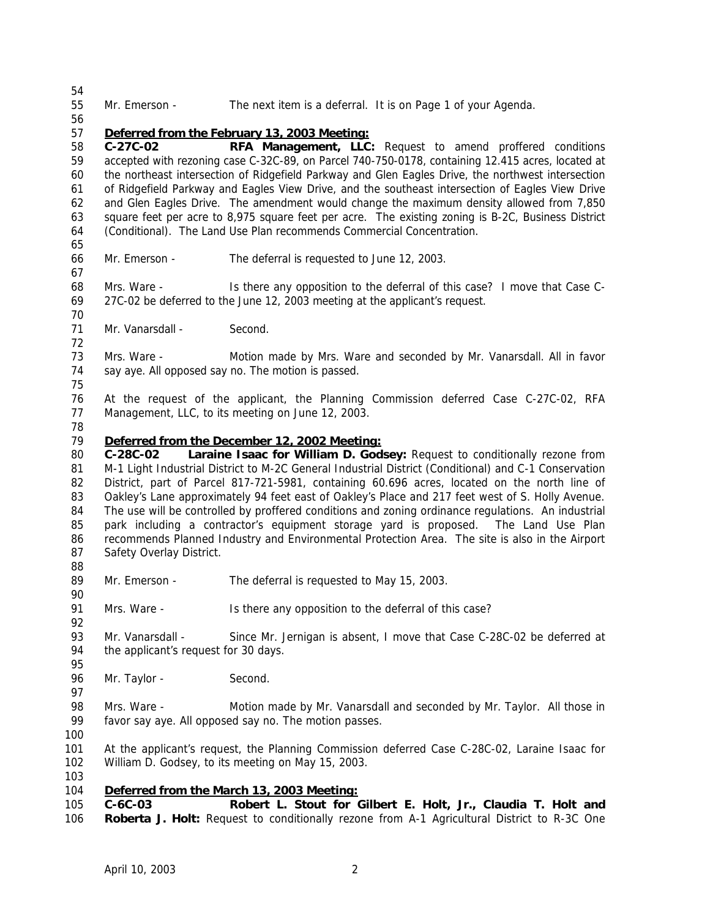Mr. Emerson - The next item is a deferral. It is on Page 1 of your Agenda. *Deferred from the February 13, 2003 Meeting:* **C-27C-02 RFA Management, LLC:** Request to amend proffered conditions accepted with rezoning case C-32C-89, on Parcel 740-750-0178, containing 12.415 acres, located at the northeast intersection of Ridgefield Parkway and Glen Eagles Drive, the northwest intersection of Ridgefield Parkway and Eagles View Drive, and the southeast intersection of Eagles View Drive and Glen Eagles Drive. The amendment would change the maximum density allowed from 7,850 square feet per acre to 8,975 square feet per acre. The existing zoning is B-2C, Business District (Conditional). The Land Use Plan recommends Commercial Concentration. Mr. Emerson - The deferral is requested to June 12, 2003. 68 Mrs. Ware - Is there any opposition to the deferral of this case? I move that Case C- 27C-02 be deferred to the June 12, 2003 meeting at the applicant's request. 71 Mr. Vanarsdall - Second. 73 Mrs. Ware - Motion made by Mrs. Ware and seconded by Mr. Vanarsdall. All in favor say aye. All opposed say no. The motion is passed. At the request of the applicant, the Planning Commission deferred Case C-27C-02, RFA Management, LLC, to its meeting on June 12, 2003. *Deferred from the December 12, 2002 Meeting:* **C-28C-02 Laraine Isaac for William D. Godsey:** Request to conditionally rezone from M-1 Light Industrial District to M-2C General Industrial District (Conditional) and C-1 Conservation District, part of Parcel 817-721-5981, containing 60.696 acres, located on the north line of 83 Oakley's Lane approximately 94 feet east of Oakley's Place and 217 feet west of S. Holly Avenue. The use will be controlled by proffered conditions and zoning ordinance regulations. An industrial park including a contractor's equipment storage yard is proposed. The Land Use Plan recommends Planned Industry and Environmental Protection Area. The site is also in the Airport Safety Overlay District. 89 Mr. Emerson - The deferral is requested to May 15, 2003. 91 Mrs. Ware - Is there any opposition to the deferral of this case? Mr. Vanarsdall - Since Mr. Jernigan is absent, I move that Case C-28C-02 be deferred at the applicant's request for 30 days. 96 Mr. Taylor - Second. Mrs. Ware - Motion made by Mr. Vanarsdall and seconded by Mr. Taylor. All those in favor say aye. All opposed say no. The motion passes. At the applicant's request, the Planning Commission deferred Case C-28C-02, Laraine Isaac for William D. Godsey, to its meeting on May 15, 2003. *Deferred from the March 13, 2003 Meeting:* **C-6C-03 Robert L. Stout for Gilbert E. Holt, Jr., Claudia T. Holt and Roberta J. Holt:** Request to conditionally rezone from A-1 Agricultural District to R-3C One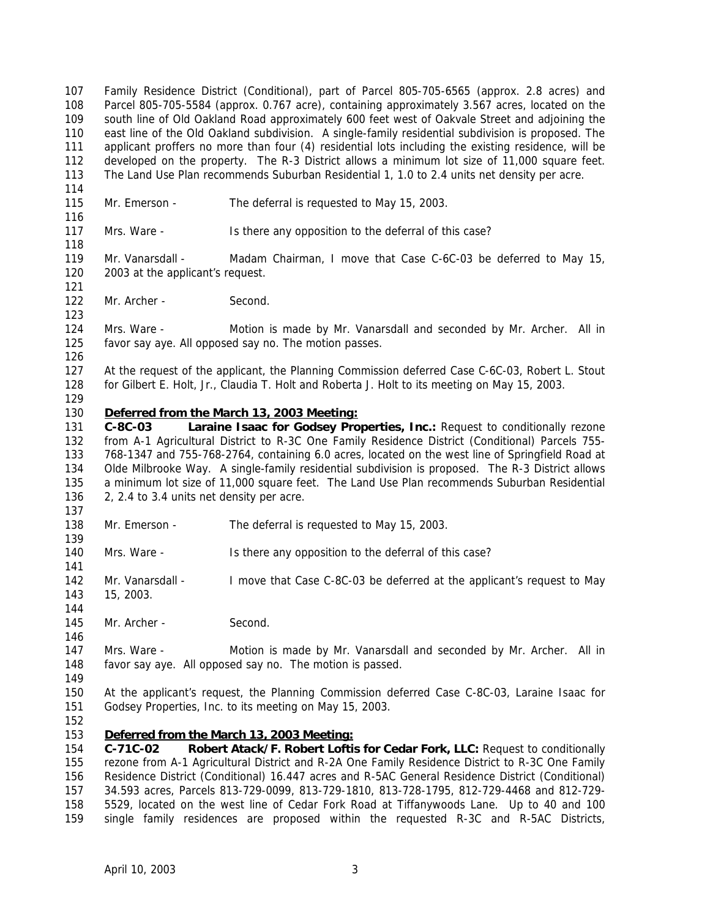Family Residence District (Conditional), part of Parcel 805-705-6565 (approx. 2.8 acres) and Parcel 805-705-5584 (approx. 0.767 acre), containing approximately 3.567 acres, located on the south line of Old Oakland Road approximately 600 feet west of Oakvale Street and adjoining the east line of the Old Oakland subdivision. A single-family residential subdivision is proposed. The applicant proffers no more than four (4) residential lots including the existing residence, will be developed on the property. The R-3 District allows a minimum lot size of 11,000 square feet. The Land Use Plan recommends Suburban Residential 1, 1.0 to 2.4 units net density per acre. Mr. Emerson - The deferral is requested to May 15, 2003. 117 Mrs. Ware - Is there any opposition to the deferral of this case? Mr. Vanarsdall - Madam Chairman, I move that Case C-6C-03 be deferred to May 15, 2003 at the applicant's request. 122 Mr. Archer - Second. Mrs. Ware - Motion is made by Mr. Vanarsdall and seconded by Mr. Archer. All in favor say aye. All opposed say no. The motion passes. At the request of the applicant, the Planning Commission deferred Case C-6C-03, Robert L. Stout for Gilbert E. Holt, Jr., Claudia T. Holt and Roberta J. Holt to its meeting on May 15, 2003. *Deferred from the March 13, 2003 Meeting:* **C-8C-03 Laraine Isaac for Godsey Properties, Inc.:** Request to conditionally rezone from A-1 Agricultural District to R-3C One Family Residence District (Conditional) Parcels 755- 768-1347 and 755-768-2764, containing 6.0 acres, located on the west line of Springfield Road at Olde Milbrooke Way. A single-family residential subdivision is proposed. The R-3 District allows a minimum lot size of 11,000 square feet. The Land Use Plan recommends Suburban Residential 2, 2.4 to 3.4 units net density per acre. Mr. Emerson - The deferral is requested to May 15, 2003. Mrs. Ware - Is there any opposition to the deferral of this case? Mr. Vanarsdall - I move that Case C-8C-03 be deferred at the applicant's request to May 15, 2003. 145 Mr. Archer - Second. Mrs. Ware - Motion is made by Mr. Vanarsdall and seconded by Mr. Archer. All in favor say aye. All opposed say no. The motion is passed. At the applicant's request, the Planning Commission deferred Case C-8C-03, Laraine Isaac for Godsey Properties, Inc. to its meeting on May 15, 2003. *Deferred from the March 13, 2003 Meeting:* **C-71C-02 Robert Atack/F. Robert Loftis for Cedar Fork, LLC:** Request to conditionally rezone from A-1 Agricultural District and R-2A One Family Residence District to R-3C One Family Residence District (Conditional) 16.447 acres and R-5AC General Residence District (Conditional) 34.593 acres, Parcels 813-729-0099, 813-729-1810, 813-728-1795, 812-729-4468 and 812-729- 5529, located on the west line of Cedar Fork Road at Tiffanywoods Lane. Up to 40 and 100 single family residences are proposed within the requested R-3C and R-5AC Districts,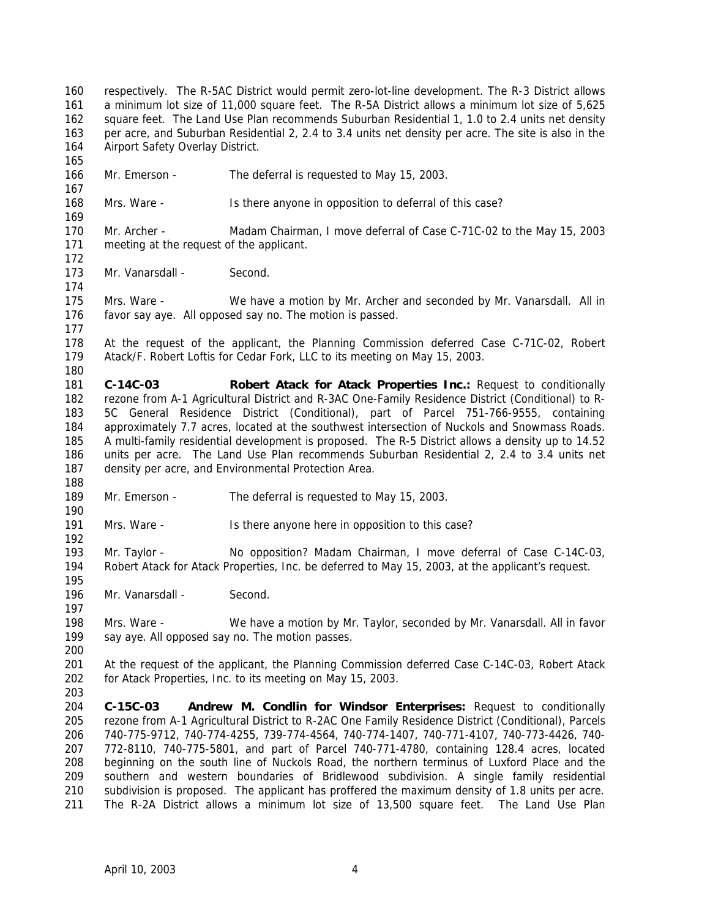respectively. The R-5AC District would permit zero-lot-line development. The R-3 District allows a minimum lot size of 11,000 square feet. The R-5A District allows a minimum lot size of 5,625 square feet. The Land Use Plan recommends Suburban Residential 1, 1.0 to 2.4 units net density per acre, and Suburban Residential 2, 2.4 to 3.4 units net density per acre. The site is also in the 164 Airport Safety Overlay District. Mr. Emerson - The deferral is requested to May 15, 2003. Mrs. Ware - Is there anyone in opposition to deferral of this case? Mr. Archer - Madam Chairman, I move deferral of Case C-71C-02 to the May 15, 2003 meeting at the request of the applicant. 173 Mr. Vanarsdall - Second. Mrs. Ware - We have a motion by Mr. Archer and seconded by Mr. Vanarsdall. All in favor say aye. All opposed say no. The motion is passed. At the request of the applicant, the Planning Commission deferred Case C-71C-02, Robert Atack/F. Robert Loftis for Cedar Fork, LLC to its meeting on May 15, 2003. **C-14C-03 Robert Atack for Atack Properties Inc.:** Request to conditionally rezone from A-1 Agricultural District and R-3AC One-Family Residence District (Conditional) to R- 5C General Residence District (Conditional), part of Parcel 751-766-9555, containing approximately 7.7 acres, located at the southwest intersection of Nuckols and Snowmass Roads. A multi-family residential development is proposed. The R-5 District allows a density up to 14.52 units per acre. The Land Use Plan recommends Suburban Residential 2, 2.4 to 3.4 units net density per acre, and Environmental Protection Area. 189 Mr. Emerson - The deferral is requested to May 15, 2003. Mrs. Ware - Is there anyone here in opposition to this case? Mr. Taylor - No opposition? Madam Chairman, I move deferral of Case C-14C-03, Robert Atack for Atack Properties, Inc. be deferred to May 15, 2003, at the applicant's request. 196 Mr. Vanarsdall - Second. Mrs. Ware - We have a motion by Mr. Taylor, seconded by Mr. Vanarsdall. All in favor say aye. All opposed say no. The motion passes. At the request of the applicant, the Planning Commission deferred Case C-14C-03, Robert Atack for Atack Properties, Inc. to its meeting on May 15, 2003. **C-15C-03 Andrew M. Condlin for Windsor Enterprises:** Request to conditionally rezone from A-1 Agricultural District to R-2AC One Family Residence District (Conditional), Parcels 740-775-9712, 740-774-4255, 739-774-4564, 740-774-1407, 740-771-4107, 740-773-4426, 740- 772-8110, 740-775-5801, and part of Parcel 740-771-4780, containing 128.4 acres, located beginning on the south line of Nuckols Road, the northern terminus of Luxford Place and the southern and western boundaries of Bridlewood subdivision. A single family residential subdivision is proposed. The applicant has proffered the maximum density of 1.8 units per acre. The R-2A District allows a minimum lot size of 13,500 square feet. The Land Use Plan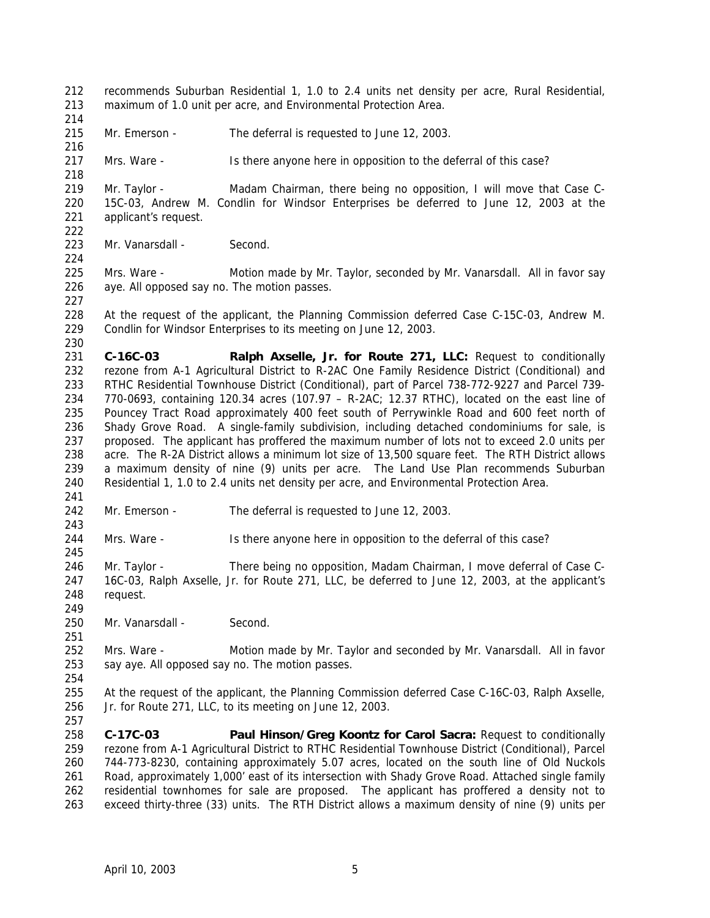- recommends Suburban Residential 1, 1.0 to 2.4 units net density per acre, Rural Residential, maximum of 1.0 unit per acre, and Environmental Protection Area.
- 

- 215 Mr. Emerson The deferral is requested to June 12, 2003.
- Mrs. Ware Is there anyone here in opposition to the deferral of this case?

 Mr. Taylor - Madam Chairman, there being no opposition, I will move that Case C- 15C-03, Andrew M. Condlin for Windsor Enterprises be deferred to June 12, 2003 at the applicant's request. 

223 Mr. Vanarsdall - Second.

225 Mrs. Ware - Motion made by Mr. Taylor, seconded by Mr. Vanarsdall. All in favor say aye. All opposed say no. The motion passes.

 At the request of the applicant, the Planning Commission deferred Case C-15C-03, Andrew M. Condlin for Windsor Enterprises to its meeting on June 12, 2003.

 **C-16C-03 Ralph Axselle, Jr. for Route 271, LLC:** Request to conditionally rezone from A-1 Agricultural District to R-2AC One Family Residence District (Conditional) and RTHC Residential Townhouse District (Conditional), part of Parcel 738-772-9227 and Parcel 739- 770-0693, containing 120.34 acres (107.97 – R-2AC; 12.37 RTHC), located on the east line of Pouncey Tract Road approximately 400 feet south of Perrywinkle Road and 600 feet north of Shady Grove Road. A single-family subdivision, including detached condominiums for sale, is proposed. The applicant has proffered the maximum number of lots not to exceed 2.0 units per acre. The R-2A District allows a minimum lot size of 13,500 square feet. The RTH District allows a maximum density of nine (9) units per acre. The Land Use Plan recommends Suburban Residential 1, 1.0 to 2.4 units net density per acre, and Environmental Protection Area.

Mr. Emerson - The deferral is requested to June 12, 2003.

Mrs. Ware - Is there anyone here in opposition to the deferral of this case?

246 Mr. Taylor - There being no opposition, Madam Chairman, I move deferral of Case C- 16C-03, Ralph Axselle, Jr. for Route 271, LLC, be deferred to June 12, 2003, at the applicant's request.

250 Mr. Vanarsdall - Second.

 Mrs. Ware - Motion made by Mr. Taylor and seconded by Mr. Vanarsdall. All in favor say aye. All opposed say no. The motion passes.

 At the request of the applicant, the Planning Commission deferred Case C-16C-03, Ralph Axselle, Jr. for Route 271, LLC, to its meeting on June 12, 2003. 

 **C-17C-03 Paul Hinson/Greg Koontz for Carol Sacra:** Request to conditionally rezone from A-1 Agricultural District to RTHC Residential Townhouse District (Conditional), Parcel 744-773-8230, containing approximately 5.07 acres, located on the south line of Old Nuckols Road, approximately 1,000' east of its intersection with Shady Grove Road. Attached single family residential townhomes for sale are proposed. The applicant has proffered a density not to exceed thirty-three (33) units. The RTH District allows a maximum density of nine (9) units per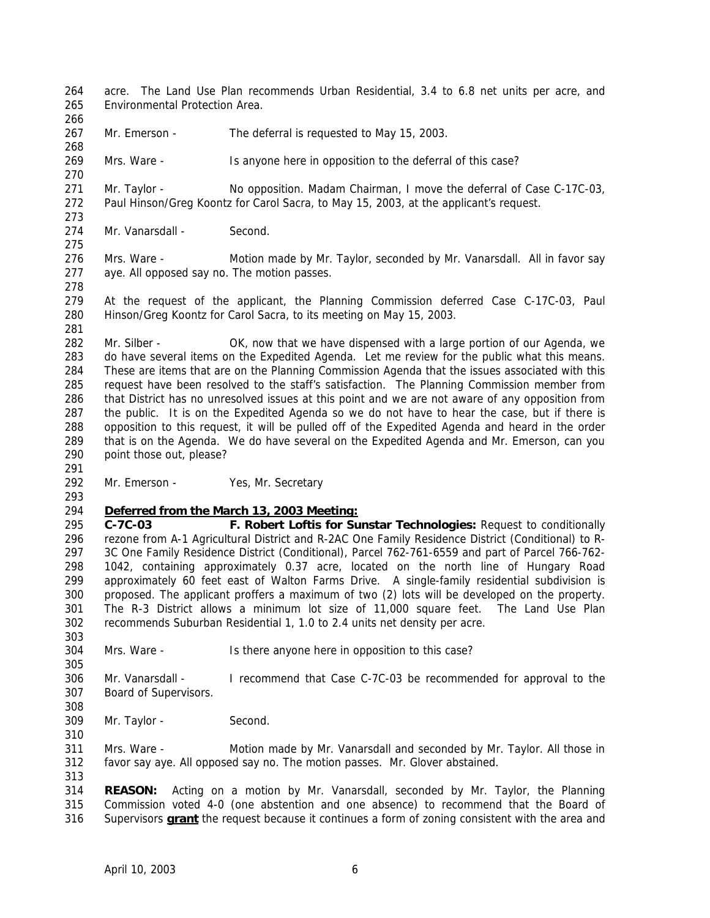acre. The Land Use Plan recommends Urban Residential, 3.4 to 6.8 net units per acre, and Environmental Protection Area.

267 Mr. Emerson - The deferral is requested to May 15, 2003.

Mrs. Ware - Is anyone here in opposition to the deferral of this case?

 Mr. Taylor - No opposition. Madam Chairman, I move the deferral of Case C-17C-03, Paul Hinson/Greg Koontz for Carol Sacra, to May 15, 2003, at the applicant's request. 

274 Mr. Vanarsdall - Second.

 Mrs. Ware - Motion made by Mr. Taylor, seconded by Mr. Vanarsdall. All in favor say aye. All opposed say no. The motion passes. 

 At the request of the applicant, the Planning Commission deferred Case C-17C-03, Paul Hinson/Greg Koontz for Carol Sacra, to its meeting on May 15, 2003.

 Mr. Silber - OK, now that we have dispensed with a large portion of our Agenda, we do have several items on the Expedited Agenda. Let me review for the public what this means. These are items that are on the Planning Commission Agenda that the issues associated with this request have been resolved to the staff's satisfaction. The Planning Commission member from that District has no unresolved issues at this point and we are not aware of any opposition from the public. It is on the Expedited Agenda so we do not have to hear the case, but if there is opposition to this request, it will be pulled off of the Expedited Agenda and heard in the order that is on the Agenda. We do have several on the Expedited Agenda and Mr. Emerson, can you point those out, please?

292 Mr. Emerson - Yes, Mr. Secretary

## *Deferred from the March 13, 2003 Meeting:*

 **C-7C-03 F. Robert Loftis for Sunstar Technologies:** Request to conditionally rezone from A-1 Agricultural District and R-2AC One Family Residence District (Conditional) to R- 3C One Family Residence District (Conditional), Parcel 762-761-6559 and part of Parcel 766-762- 1042, containing approximately 0.37 acre, located on the north line of Hungary Road approximately 60 feet east of Walton Farms Drive. A single-family residential subdivision is proposed. The applicant proffers a maximum of two (2) lots will be developed on the property. The R-3 District allows a minimum lot size of 11,000 square feet. The Land Use Plan recommends Suburban Residential 1, 1.0 to 2.4 units net density per acre.

Mrs. Ware - Is there anyone here in opposition to this case?

 Mr. Vanarsdall - I recommend that Case C-7C-03 be recommended for approval to the Board of Supervisors.

309 Mr. Taylor - Second.

 Mrs. Ware - Motion made by Mr. Vanarsdall and seconded by Mr. Taylor. All those in favor say aye. All opposed say no. The motion passes. Mr. Glover abstained.

 **REASON:** Acting on a motion by Mr. Vanarsdall, seconded by Mr. Taylor, the Planning Commission voted 4-0 (one abstention and one absence) to recommend that the Board of Supervisors **grant** the request because it continues a form of zoning consistent with the area and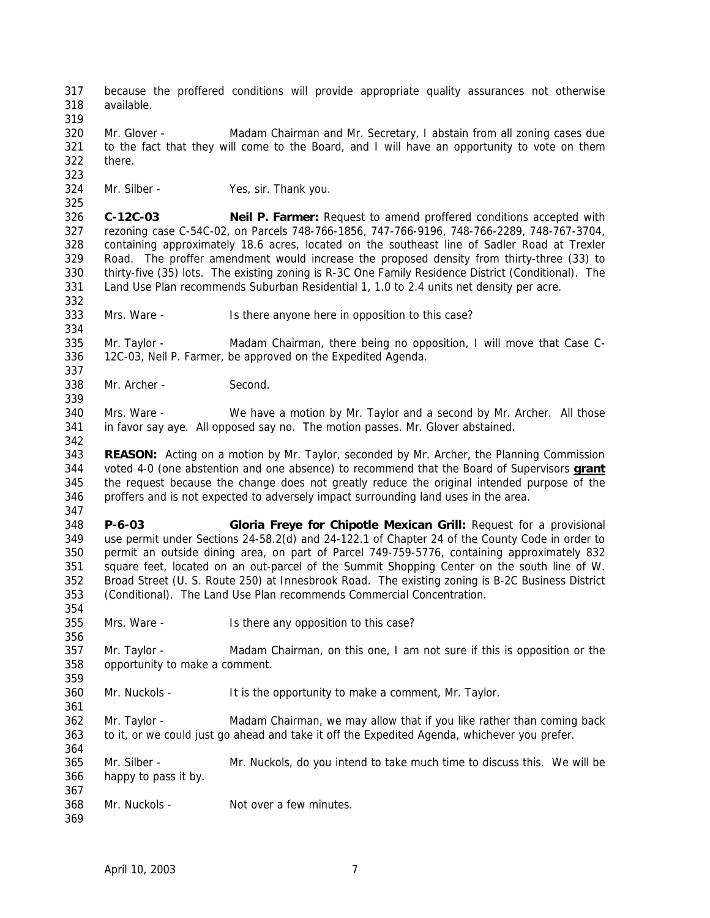because the proffered conditions will provide appropriate quality assurances not otherwise available. 320 Mr. Glover - Madam Chairman and Mr. Secretary, I abstain from all zoning cases due to the fact that they will come to the Board, and I will have an opportunity to vote on them there. Mr. Silber - Yes, sir. Thank you. **C-12C-03 Neil P. Farmer:** Request to amend proffered conditions accepted with rezoning case C-54C-02, on Parcels 748-766-1856, 747-766-9196, 748-766-2289, 748-767-3704, containing approximately 18.6 acres, located on the southeast line of Sadler Road at Trexler Road. The proffer amendment would increase the proposed density from thirty-three (33) to thirty-five (35) lots. The existing zoning is R-3C One Family Residence District (Conditional). The Land Use Plan recommends Suburban Residential 1, 1.0 to 2.4 units net density per acre. Mrs. Ware - Is there anyone here in opposition to this case? Mr. Taylor - Madam Chairman, there being no opposition, I will move that Case C- 12C-03, Neil P. Farmer, be approved on the Expedited Agenda. Mr. Archer - Second. Mrs. Ware - We have a motion by Mr. Taylor and a second by Mr. Archer. All those in favor say aye. All opposed say no. The motion passes. Mr. Glover abstained. **REASON:** Acting on a motion by Mr. Taylor, seconded by Mr. Archer, the Planning Commission voted 4-0 (one abstention and one absence) to recommend that the Board of Supervisors **grant** the request because the change does not greatly reduce the original intended purpose of the proffers and is not expected to adversely impact surrounding land uses in the area. **P-6-03 Gloria Freye for Chipotle Mexican Grill:** Request for a provisional use permit under Sections 24-58.2(d) and 24-122.1 of Chapter 24 of the County Code in order to permit an outside dining area, on part of Parcel 749-759-5776, containing approximately 832 square feet, located on an out-parcel of the Summit Shopping Center on the south line of W. Broad Street (U. S. Route 250) at Innesbrook Road. The existing zoning is B-2C Business District (Conditional). The Land Use Plan recommends Commercial Concentration. Mrs. Ware - Is there any opposition to this case? Mr. Taylor - Madam Chairman, on this one, I am not sure if this is opposition or the opportunity to make a comment. Mr. Nuckols - It is the opportunity to make a comment, Mr. Taylor. 362 Mr. Taylor - Madam Chairman, we may allow that if you like rather than coming back to it, or we could just go ahead and take it off the Expedited Agenda, whichever you prefer. Mr. Silber - Mr. Nuckols, do you intend to take much time to discuss this. We will be happy to pass it by. Mr. Nuckols - Not over a few minutes.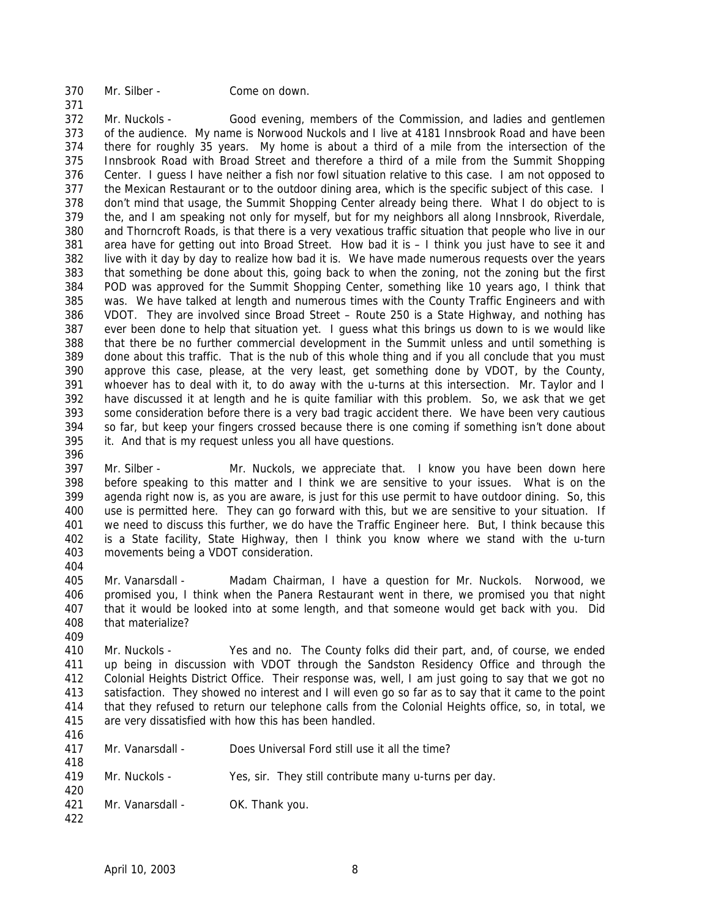Mr. Silber - Come on down.

 Mr. Nuckols - Good evening, members of the Commission, and ladies and gentlemen of the audience. My name is Norwood Nuckols and I live at 4181 Innsbrook Road and have been there for roughly 35 years. My home is about a third of a mile from the intersection of the Innsbrook Road with Broad Street and therefore a third of a mile from the Summit Shopping Center. I guess I have neither a fish nor fowl situation relative to this case. I am not opposed to the Mexican Restaurant or to the outdoor dining area, which is the specific subject of this case. I don't mind that usage, the Summit Shopping Center already being there. What I do object to is the, and I am speaking not only for myself, but for my neighbors all along Innsbrook, Riverdale, and Thorncroft Roads, is that there is a very vexatious traffic situation that people who live in our area have for getting out into Broad Street. How bad it is – I think you just have to see it and live with it day by day to realize how bad it is. We have made numerous requests over the years that something be done about this, going back to when the zoning, not the zoning but the first POD was approved for the Summit Shopping Center, something like 10 years ago, I think that was. We have talked at length and numerous times with the County Traffic Engineers and with VDOT. They are involved since Broad Street – Route 250 is a State Highway, and nothing has ever been done to help that situation yet. I guess what this brings us down to is we would like that there be no further commercial development in the Summit unless and until something is done about this traffic. That is the nub of this whole thing and if you all conclude that you must approve this case, please, at the very least, get something done by VDOT, by the County, whoever has to deal with it, to do away with the u-turns at this intersection. Mr. Taylor and I have discussed it at length and he is quite familiar with this problem. So, we ask that we get some consideration before there is a very bad tragic accident there. We have been very cautious so far, but keep your fingers crossed because there is one coming if something isn't done about it. And that is my request unless you all have questions.

 Mr. Silber - Mr. Nuckols, we appreciate that. I know you have been down here before speaking to this matter and I think we are sensitive to your issues. What is on the agenda right now is, as you are aware, is just for this use permit to have outdoor dining. So, this use is permitted here. They can go forward with this, but we are sensitive to your situation. If we need to discuss this further, we do have the Traffic Engineer here. But, I think because this is a State facility, State Highway, then I think you know where we stand with the u-turn movements being a VDOT consideration.

 Mr. Vanarsdall - Madam Chairman, I have a question for Mr. Nuckols. Norwood, we promised you, I think when the Panera Restaurant went in there, we promised you that night that it would be looked into at some length, and that someone would get back with you. Did that materialize? 

 Mr. Nuckols - Yes and no. The County folks did their part, and, of course, we ended up being in discussion with VDOT through the Sandston Residency Office and through the Colonial Heights District Office. Their response was, well, I am just going to say that we got no satisfaction. They showed no interest and I will even go so far as to say that it came to the point that they refused to return our telephone calls from the Colonial Heights office, so, in total, we are very dissatisfied with how this has been handled.

| 417 | Mr. Vanarsdall - | Does Universal Ford still use it all the time? |
|-----|------------------|------------------------------------------------|
| 418 |                  |                                                |

- Mr. Nuckols Yes, sir. They still contribute many u-turns per day.
- 421 Mr. Vanarsdall OK. Thank you.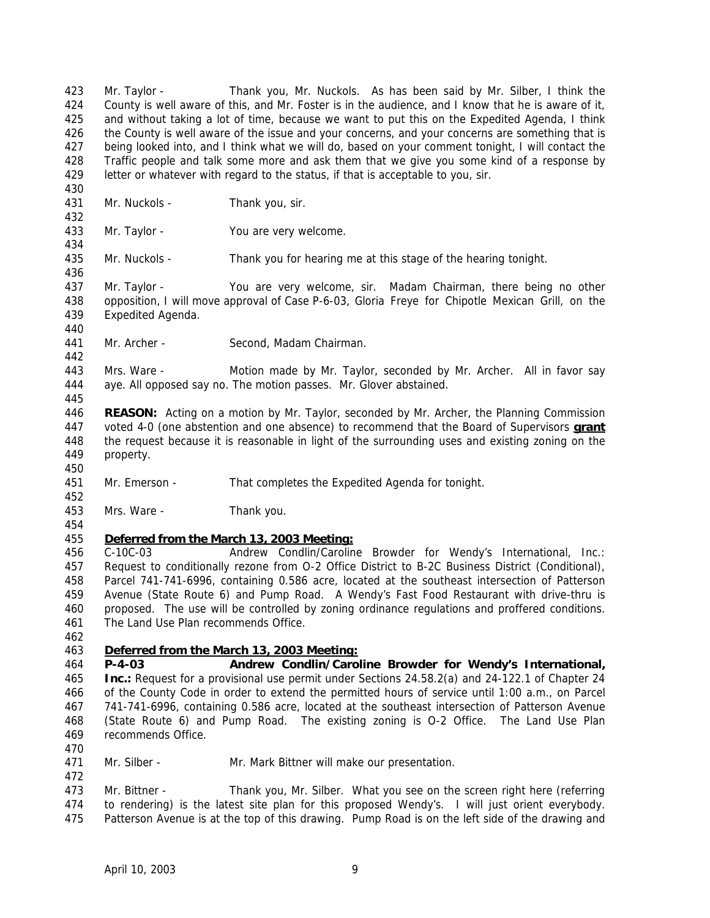Mr. Taylor - Thank you, Mr. Nuckols. As has been said by Mr. Silber, I think the County is well aware of this, and Mr. Foster is in the audience, and I know that he is aware of it, and without taking a lot of time, because we want to put this on the Expedited Agenda, I think 426 the County is well aware of the issue and your concerns, and your concerns are something that is being looked into, and I think what we will do, based on your comment tonight, I will contact the Traffic people and talk some more and ask them that we give you some kind of a response by letter or whatever with regard to the status, if that is acceptable to you, sir.

431 Mr. Nuckols - Thank you, sir.

Mr. Taylor - You are very welcome.

Mr. Nuckols - Thank you for hearing me at this stage of the hearing tonight.

 Mr. Taylor - You are very welcome, sir. Madam Chairman, there being no other opposition, I will move approval of Case P-6-03, Gloria Freye for Chipotle Mexican Grill, on the Expedited Agenda.

Mr. Archer - Second, Madam Chairman.

 Mrs. Ware - Motion made by Mr. Taylor, seconded by Mr. Archer. All in favor say aye. All opposed say no. The motion passes. Mr. Glover abstained.

 **REASON:** Acting on a motion by Mr. Taylor, seconded by Mr. Archer, the Planning Commission voted 4-0 (one abstention and one absence) to recommend that the Board of Supervisors **grant** the request because it is reasonable in light of the surrounding uses and existing zoning on the property.

Mr. Emerson - That completes the Expedited Agenda for tonight.

Mrs. Ware - Thank you.

## *Deferred from the March 13, 2003 Meeting:*

 C-10C-03 Andrew Condlin/Caroline Browder for Wendy's International, Inc.: Request to conditionally rezone from O-2 Office District to B-2C Business District (Conditional), Parcel 741-741-6996, containing 0.586 acre, located at the southeast intersection of Patterson Avenue (State Route 6) and Pump Road. A Wendy's Fast Food Restaurant with drive-thru is proposed. The use will be controlled by zoning ordinance regulations and proffered conditions. The Land Use Plan recommends Office.

## *Deferred from the March 13, 2003 Meeting:*

 **P-4-03 Andrew Condlin/Caroline Browder for Wendy's International, Inc.:** Request for a provisional use permit under Sections 24.58.2(a) and 24-122.1 of Chapter 24 of the County Code in order to extend the permitted hours of service until 1:00 a.m., on Parcel 741-741-6996, containing 0.586 acre, located at the southeast intersection of Patterson Avenue (State Route 6) and Pump Road. The existing zoning is O-2 Office. The Land Use Plan recommends Office.

- 
- Mr. Silber Mr. Mark Bittner will make our presentation.

 Mr. Bittner - Thank you, Mr. Silber. What you see on the screen right here (referring to rendering) is the latest site plan for this proposed Wendy's. I will just orient everybody. Patterson Avenue is at the top of this drawing. Pump Road is on the left side of the drawing and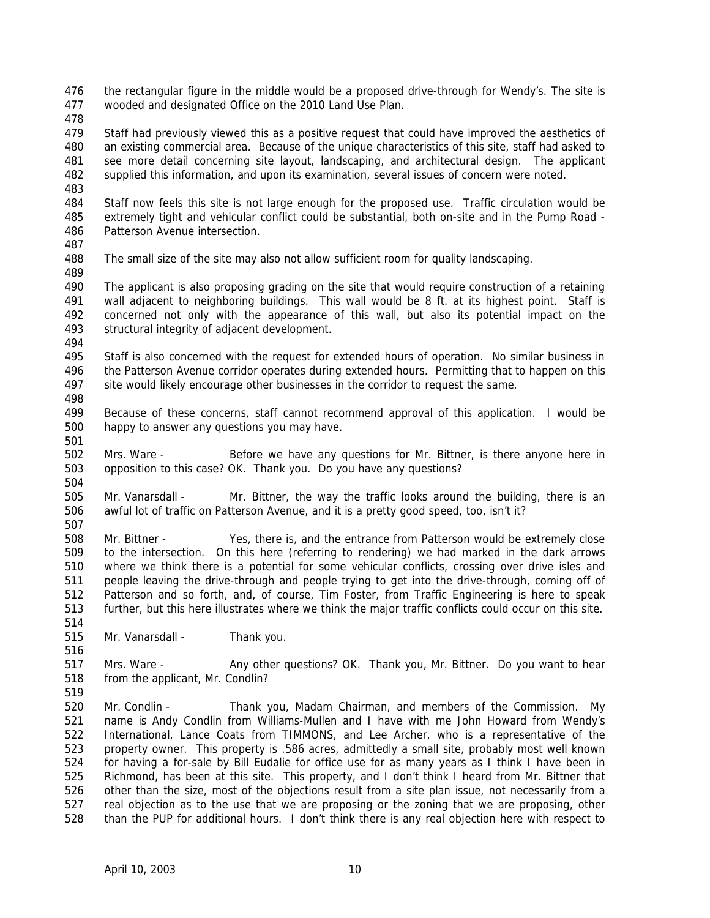the rectangular figure in the middle would be a proposed drive-through for Wendy's. The site is wooded and designated Office on the 2010 Land Use Plan.

479 Staff had previously viewed this as a positive request that could have improved the aesthetics of an existing commercial area. Because of the unique characteristics of this site, staff had asked to see more detail concerning site layout, landscaping, and architectural design. The applicant supplied this information, and upon its examination, several issues of concern were noted.

 Staff now feels this site is not large enough for the proposed use. Traffic circulation would be extremely tight and vehicular conflict could be substantial, both on-site and in the Pump Road - Patterson Avenue intersection. 

The small size of the site may also not allow sufficient room for quality landscaping.

 The applicant is also proposing grading on the site that would require construction of a retaining 491 wall adjacent to neighboring buildings. This wall would be 8 ft. at its highest point. Staff is concerned not only with the appearance of this wall, but also its potential impact on the structural integrity of adjacent development. 

 Staff is also concerned with the request for extended hours of operation. No similar business in the Patterson Avenue corridor operates during extended hours. Permitting that to happen on this site would likely encourage other businesses in the corridor to request the same.

- 
- Because of these concerns, staff cannot recommend approval of this application. I would be happy to answer any questions you may have.
- Mrs. Ware Before we have any questions for Mr. Bittner, is there anyone here in opposition to this case? OK. Thank you. Do you have any questions?

 Mr. Vanarsdall - Mr. Bittner, the way the traffic looks around the building, there is an awful lot of traffic on Patterson Avenue, and it is a pretty good speed, too, isn't it? 

 Mr. Bittner - Yes, there is, and the entrance from Patterson would be extremely close to the intersection. On this here (referring to rendering) we had marked in the dark arrows where we think there is a potential for some vehicular conflicts, crossing over drive isles and people leaving the drive-through and people trying to get into the drive-through, coming off of Patterson and so forth, and, of course, Tim Foster, from Traffic Engineering is here to speak further, but this here illustrates where we think the major traffic conflicts could occur on this site. 

Mr. Vanarsdall - Thank you.

 Mrs. Ware - Any other questions? OK. Thank you, Mr. Bittner. Do you want to hear from the applicant, Mr. Condlin?

 Mr. Condlin - Thank you, Madam Chairman, and members of the Commission. My name is Andy Condlin from Williams-Mullen and I have with me John Howard from Wendy's International, Lance Coats from TIMMONS, and Lee Archer, who is a representative of the property owner. This property is .586 acres, admittedly a small site, probably most well known for having a for-sale by Bill Eudalie for office use for as many years as I think I have been in Richmond, has been at this site. This property, and I don't think I heard from Mr. Bittner that other than the size, most of the objections result from a site plan issue, not necessarily from a real objection as to the use that we are proposing or the zoning that we are proposing, other than the PUP for additional hours. I don't think there is any real objection here with respect to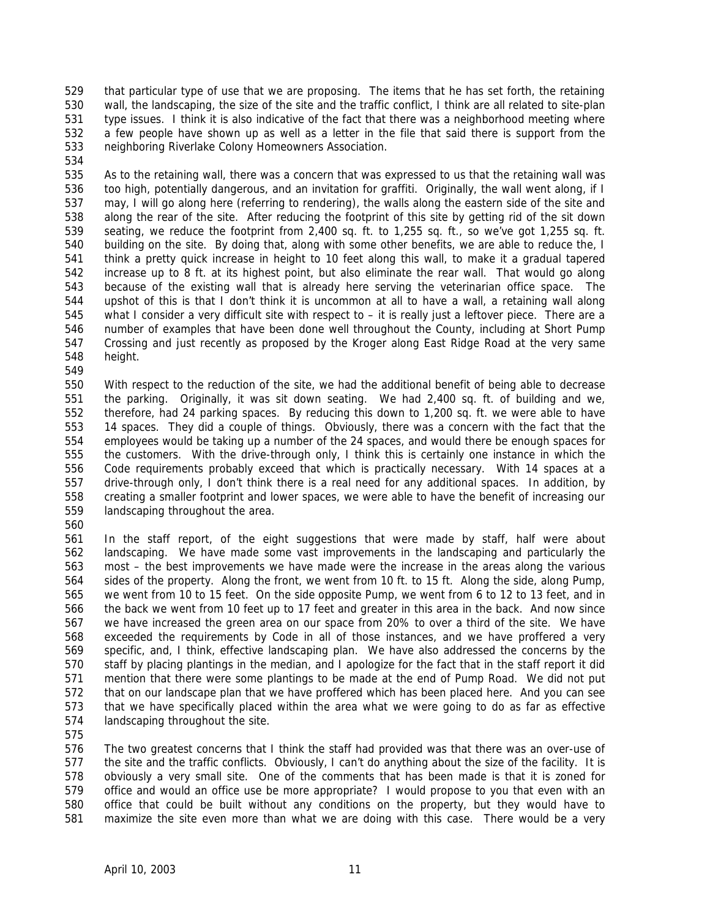that particular type of use that we are proposing. The items that he has set forth, the retaining wall, the landscaping, the size of the site and the traffic conflict, I think are all related to site-plan type issues. I think it is also indicative of the fact that there was a neighborhood meeting where a few people have shown up as well as a letter in the file that said there is support from the neighboring Riverlake Colony Homeowners Association.

 As to the retaining wall, there was a concern that was expressed to us that the retaining wall was too high, potentially dangerous, and an invitation for graffiti. Originally, the wall went along, if I may, I will go along here (referring to rendering), the walls along the eastern side of the site and along the rear of the site. After reducing the footprint of this site by getting rid of the sit down seating, we reduce the footprint from 2,400 sq. ft. to 1,255 sq. ft., so we've got 1,255 sq. ft. building on the site. By doing that, along with some other benefits, we are able to reduce the, I think a pretty quick increase in height to 10 feet along this wall, to make it a gradual tapered increase up to 8 ft. at its highest point, but also eliminate the rear wall. That would go along because of the existing wall that is already here serving the veterinarian office space. The upshot of this is that I don't think it is uncommon at all to have a wall, a retaining wall along what I consider a very difficult site with respect to – it is really just a leftover piece. There are a number of examples that have been done well throughout the County, including at Short Pump Crossing and just recently as proposed by the Kroger along East Ridge Road at the very same height.

 With respect to the reduction of the site, we had the additional benefit of being able to decrease the parking. Originally, it was sit down seating. We had 2,400 sq. ft. of building and we, therefore, had 24 parking spaces. By reducing this down to 1,200 sq. ft. we were able to have 14 spaces. They did a couple of things. Obviously, there was a concern with the fact that the employees would be taking up a number of the 24 spaces, and would there be enough spaces for the customers. With the drive-through only, I think this is certainly one instance in which the Code requirements probably exceed that which is practically necessary. With 14 spaces at a drive-through only, I don't think there is a real need for any additional spaces. In addition, by creating a smaller footprint and lower spaces, we were able to have the benefit of increasing our landscaping throughout the area.

 In the staff report, of the eight suggestions that were made by staff, half were about landscaping. We have made some vast improvements in the landscaping and particularly the most – the best improvements we have made were the increase in the areas along the various sides of the property. Along the front, we went from 10 ft. to 15 ft. Along the side, along Pump, we went from 10 to 15 feet. On the side opposite Pump, we went from 6 to 12 to 13 feet, and in the back we went from 10 feet up to 17 feet and greater in this area in the back. And now since we have increased the green area on our space from 20% to over a third of the site. We have exceeded the requirements by Code in all of those instances, and we have proffered a very specific, and, I think, effective landscaping plan. We have also addressed the concerns by the staff by placing plantings in the median, and I apologize for the fact that in the staff report it did mention that there were some plantings to be made at the end of Pump Road. We did not put that on our landscape plan that we have proffered which has been placed here. And you can see that we have specifically placed within the area what we were going to do as far as effective landscaping throughout the site.

 The two greatest concerns that I think the staff had provided was that there was an over-use of the site and the traffic conflicts. Obviously, I can't do anything about the size of the facility. It is obviously a very small site. One of the comments that has been made is that it is zoned for office and would an office use be more appropriate? I would propose to you that even with an office that could be built without any conditions on the property, but they would have to maximize the site even more than what we are doing with this case. There would be a very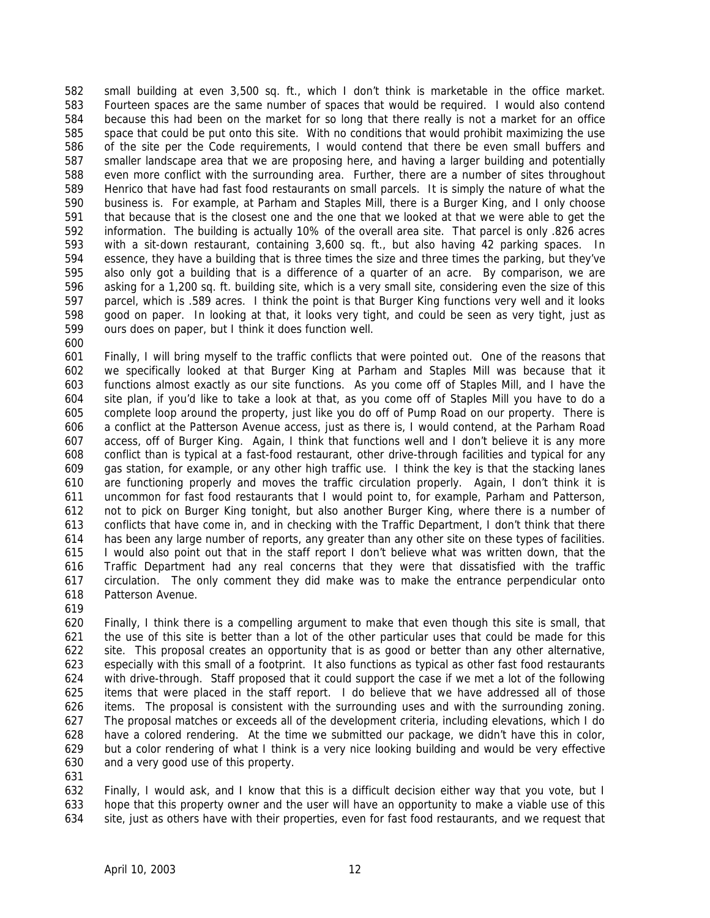small building at even 3,500 sq. ft., which I don't think is marketable in the office market. Fourteen spaces are the same number of spaces that would be required. I would also contend because this had been on the market for so long that there really is not a market for an office space that could be put onto this site. With no conditions that would prohibit maximizing the use of the site per the Code requirements, I would contend that there be even small buffers and smaller landscape area that we are proposing here, and having a larger building and potentially even more conflict with the surrounding area. Further, there are a number of sites throughout Henrico that have had fast food restaurants on small parcels. It is simply the nature of what the business is. For example, at Parham and Staples Mill, there is a Burger King, and I only choose that because that is the closest one and the one that we looked at that we were able to get the information. The building is actually 10% of the overall area site. That parcel is only .826 acres with a sit-down restaurant, containing 3,600 sq. ft., but also having 42 parking spaces. In essence, they have a building that is three times the size and three times the parking, but they've also only got a building that is a difference of a quarter of an acre. By comparison, we are asking for a 1,200 sq. ft. building site, which is a very small site, considering even the size of this parcel, which is .589 acres. I think the point is that Burger King functions very well and it looks good on paper. In looking at that, it looks very tight, and could be seen as very tight, just as ours does on paper, but I think it does function well. 

 Finally, I will bring myself to the traffic conflicts that were pointed out. One of the reasons that we specifically looked at that Burger King at Parham and Staples Mill was because that it functions almost exactly as our site functions. As you come off of Staples Mill, and I have the site plan, if you'd like to take a look at that, as you come off of Staples Mill you have to do a complete loop around the property, just like you do off of Pump Road on our property. There is a conflict at the Patterson Avenue access, just as there is, I would contend, at the Parham Road access, off of Burger King. Again, I think that functions well and I don't believe it is any more conflict than is typical at a fast-food restaurant, other drive-through facilities and typical for any gas station, for example, or any other high traffic use. I think the key is that the stacking lanes are functioning properly and moves the traffic circulation properly. Again, I don't think it is uncommon for fast food restaurants that I would point to, for example, Parham and Patterson, not to pick on Burger King tonight, but also another Burger King, where there is a number of conflicts that have come in, and in checking with the Traffic Department, I don't think that there has been any large number of reports, any greater than any other site on these types of facilities. I would also point out that in the staff report I don't believe what was written down, that the Traffic Department had any real concerns that they were that dissatisfied with the traffic circulation. The only comment they did make was to make the entrance perpendicular onto Patterson Avenue.

 Finally, I think there is a compelling argument to make that even though this site is small, that the use of this site is better than a lot of the other particular uses that could be made for this site. This proposal creates an opportunity that is as good or better than any other alternative, especially with this small of a footprint. It also functions as typical as other fast food restaurants with drive-through. Staff proposed that it could support the case if we met a lot of the following items that were placed in the staff report. I do believe that we have addressed all of those items. The proposal is consistent with the surrounding uses and with the surrounding zoning. The proposal matches or exceeds all of the development criteria, including elevations, which I do have a colored rendering. At the time we submitted our package, we didn't have this in color, but a color rendering of what I think is a very nice looking building and would be very effective and a very good use of this property.

 Finally, I would ask, and I know that this is a difficult decision either way that you vote, but I hope that this property owner and the user will have an opportunity to make a viable use of this site, just as others have with their properties, even for fast food restaurants, and we request that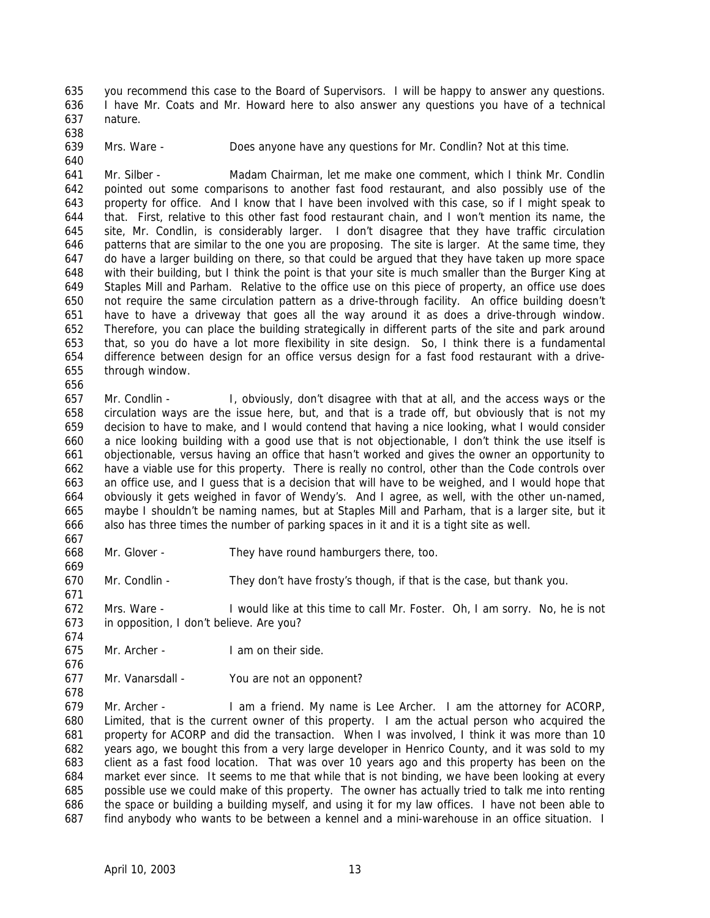you recommend this case to the Board of Supervisors. I will be happy to answer any questions. I have Mr. Coats and Mr. Howard here to also answer any questions you have of a technical nature.

 Mrs. Ware - Does anyone have any questions for Mr. Condlin? Not at this time.

 Mr. Silber - Madam Chairman, let me make one comment, which I think Mr. Condlin pointed out some comparisons to another fast food restaurant, and also possibly use of the property for office. And I know that I have been involved with this case, so if I might speak to that. First, relative to this other fast food restaurant chain, and I won't mention its name, the site, Mr. Condlin, is considerably larger. I don't disagree that they have traffic circulation patterns that are similar to the one you are proposing. The site is larger. At the same time, they do have a larger building on there, so that could be argued that they have taken up more space with their building, but I think the point is that your site is much smaller than the Burger King at Staples Mill and Parham. Relative to the office use on this piece of property, an office use does not require the same circulation pattern as a drive-through facility. An office building doesn't have to have a driveway that goes all the way around it as does a drive-through window. Therefore, you can place the building strategically in different parts of the site and park around that, so you do have a lot more flexibility in site design. So, I think there is a fundamental difference between design for an office versus design for a fast food restaurant with a drive-through window.

 Mr. Condlin - I, obviously, don't disagree with that at all, and the access ways or the circulation ways are the issue here, but, and that is a trade off, but obviously that is not my decision to have to make, and I would contend that having a nice looking, what I would consider a nice looking building with a good use that is not objectionable, I don't think the use itself is objectionable, versus having an office that hasn't worked and gives the owner an opportunity to have a viable use for this property. There is really no control, other than the Code controls over an office use, and I guess that is a decision that will have to be weighed, and I would hope that obviously it gets weighed in favor of Wendy's. And I agree, as well, with the other un-named, maybe I shouldn't be naming names, but at Staples Mill and Parham, that is a larger site, but it also has three times the number of parking spaces in it and it is a tight site as well.

Mr. Glover - They have round hamburgers there, too.

Mr. Condlin - They don't have frosty's though, if that is the case, but thank you.

 Mrs. Ware - I would like at this time to call Mr. Foster. Oh, I am sorry. No, he is not in opposition, I don't believe. Are you?

- Mr. Archer I am on their side.
- Mr. Vanarsdall You are not an opponent?

 Mr. Archer - I am a friend. My name is Lee Archer. I am the attorney for ACORP, Limited, that is the current owner of this property. I am the actual person who acquired the property for ACORP and did the transaction. When I was involved, I think it was more than 10 years ago, we bought this from a very large developer in Henrico County, and it was sold to my client as a fast food location. That was over 10 years ago and this property has been on the market ever since. It seems to me that while that is not binding, we have been looking at every possible use we could make of this property. The owner has actually tried to talk me into renting the space or building a building myself, and using it for my law offices. I have not been able to find anybody who wants to be between a kennel and a mini-warehouse in an office situation. I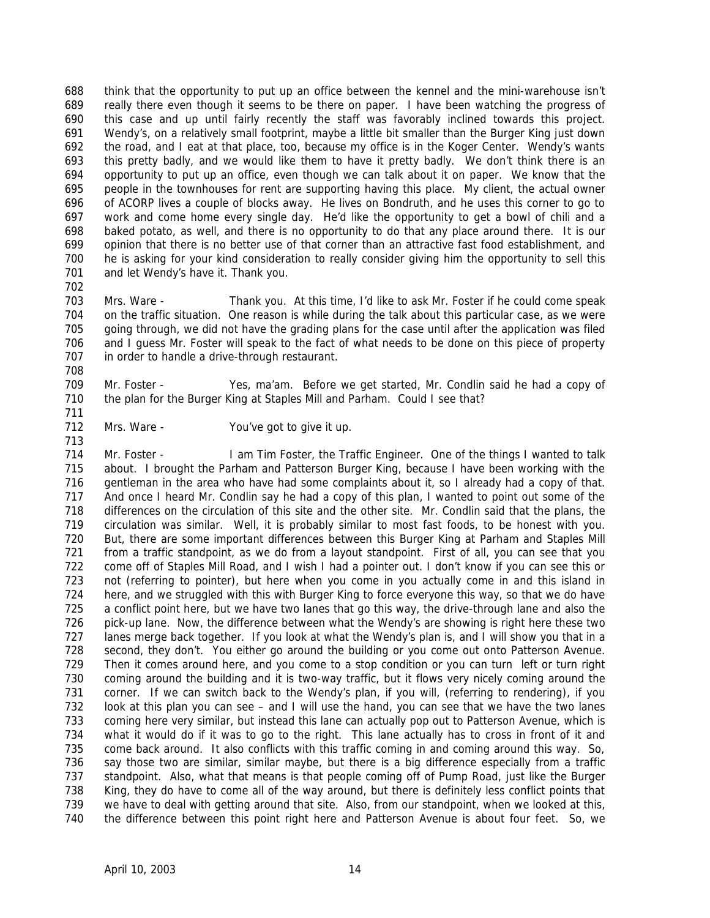think that the opportunity to put up an office between the kennel and the mini-warehouse isn't really there even though it seems to be there on paper. I have been watching the progress of this case and up until fairly recently the staff was favorably inclined towards this project. Wendy's, on a relatively small footprint, maybe a little bit smaller than the Burger King just down the road, and I eat at that place, too, because my office is in the Koger Center. Wendy's wants this pretty badly, and we would like them to have it pretty badly. We don't think there is an opportunity to put up an office, even though we can talk about it on paper. We know that the people in the townhouses for rent are supporting having this place. My client, the actual owner of ACORP lives a couple of blocks away. He lives on Bondruth, and he uses this corner to go to work and come home every single day. He'd like the opportunity to get a bowl of chili and a baked potato, as well, and there is no opportunity to do that any place around there. It is our opinion that there is no better use of that corner than an attractive fast food establishment, and he is asking for your kind consideration to really consider giving him the opportunity to sell this 701 and let Wendy's have it. Thank you. 

- Mrs. Ware Thank you. At this time, I'd like to ask Mr. Foster if he could come speak on the traffic situation. One reason is while during the talk about this particular case, as we were going through, we did not have the grading plans for the case until after the application was filed and I guess Mr. Foster will speak to the fact of what needs to be done on this piece of property in order to handle a drive-through restaurant.
- Mr. Foster Yes, ma'am. Before we get started, Mr. Condlin said he had a copy of 710 the plan for the Burger King at Staples Mill and Parham. Could I see that?
- 712 Mrs. Ware You've got to give it up.

 Mr. Foster - I am Tim Foster, the Traffic Engineer. One of the things I wanted to talk about. I brought the Parham and Patterson Burger King, because I have been working with the gentleman in the area who have had some complaints about it, so I already had a copy of that. 717 And once I heard Mr. Condlin say he had a copy of this plan, I wanted to point out some of the differences on the circulation of this site and the other site. Mr. Condlin said that the plans, the circulation was similar. Well, it is probably similar to most fast foods, to be honest with you. But, there are some important differences between this Burger King at Parham and Staples Mill from a traffic standpoint, as we do from a layout standpoint. First of all, you can see that you come off of Staples Mill Road, and I wish I had a pointer out. I don't know if you can see this or not (referring to pointer), but here when you come in you actually come in and this island in here, and we struggled with this with Burger King to force everyone this way, so that we do have a conflict point here, but we have two lanes that go this way, the drive-through lane and also the pick-up lane. Now, the difference between what the Wendy's are showing is right here these two lanes merge back together. If you look at what the Wendy's plan is, and I will show you that in a second, they don't. You either go around the building or you come out onto Patterson Avenue. Then it comes around here, and you come to a stop condition or you can turn left or turn right coming around the building and it is two-way traffic, but it flows very nicely coming around the corner. If we can switch back to the Wendy's plan, if you will, (referring to rendering), if you look at this plan you can see – and I will use the hand, you can see that we have the two lanes coming here very similar, but instead this lane can actually pop out to Patterson Avenue, which is what it would do if it was to go to the right. This lane actually has to cross in front of it and come back around. It also conflicts with this traffic coming in and coming around this way. So, say those two are similar, similar maybe, but there is a big difference especially from a traffic standpoint. Also, what that means is that people coming off of Pump Road, just like the Burger King, they do have to come all of the way around, but there is definitely less conflict points that we have to deal with getting around that site. Also, from our standpoint, when we looked at this, the difference between this point right here and Patterson Avenue is about four feet. So, we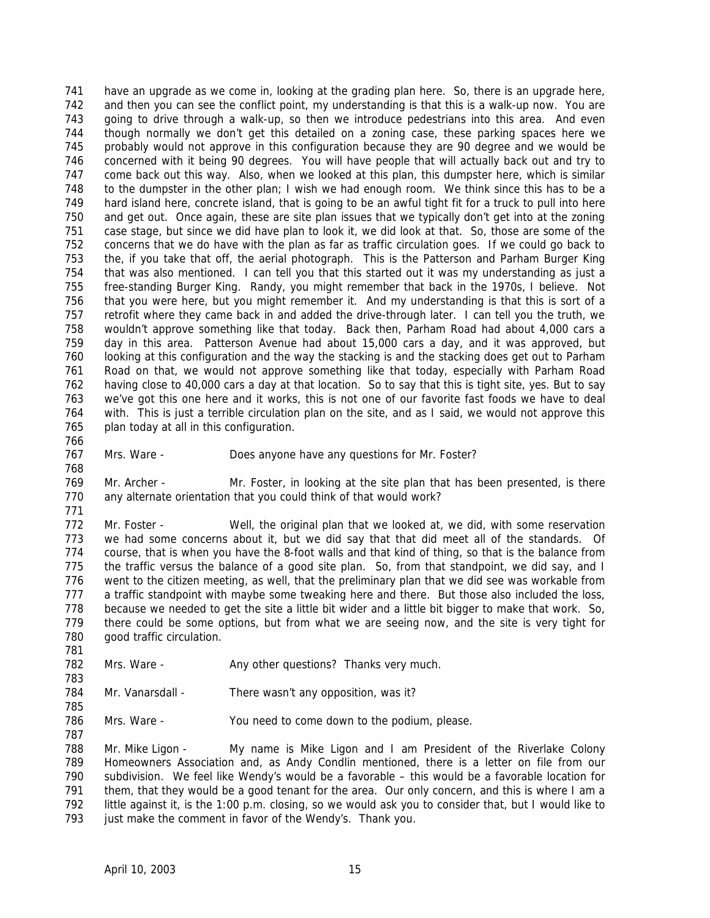have an upgrade as we come in, looking at the grading plan here. So, there is an upgrade here, and then you can see the conflict point, my understanding is that this is a walk-up now. You are 743 going to drive through a walk-up, so then we introduce pedestrians into this area. And even though normally we don't get this detailed on a zoning case, these parking spaces here we probably would not approve in this configuration because they are 90 degree and we would be concerned with it being 90 degrees. You will have people that will actually back out and try to come back out this way. Also, when we looked at this plan, this dumpster here, which is similar to the dumpster in the other plan; I wish we had enough room. We think since this has to be a hard island here, concrete island, that is going to be an awful tight fit for a truck to pull into here and get out. Once again, these are site plan issues that we typically don't get into at the zoning case stage, but since we did have plan to look it, we did look at that. So, those are some of the concerns that we do have with the plan as far as traffic circulation goes. If we could go back to the, if you take that off, the aerial photograph. This is the Patterson and Parham Burger King that was also mentioned. I can tell you that this started out it was my understanding as just a free-standing Burger King. Randy, you might remember that back in the 1970s, I believe. Not that you were here, but you might remember it. And my understanding is that this is sort of a retrofit where they came back in and added the drive-through later. I can tell you the truth, we wouldn't approve something like that today. Back then, Parham Road had about 4,000 cars a day in this area. Patterson Avenue had about 15,000 cars a day, and it was approved, but looking at this configuration and the way the stacking is and the stacking does get out to Parham Road on that, we would not approve something like that today, especially with Parham Road having close to 40,000 cars a day at that location. So to say that this is tight site, yes. But to say we've got this one here and it works, this is not one of our favorite fast foods we have to deal with. This is just a terrible circulation plan on the site, and as I said, we would not approve this plan today at all in this configuration.

Mrs. Ware - Does anyone have any questions for Mr. Foster?

 Mr. Archer - Mr. Foster, in looking at the site plan that has been presented, is there any alternate orientation that you could think of that would work?

 Mr. Foster - Well, the original plan that we looked at, we did, with some reservation we had some concerns about it, but we did say that that did meet all of the standards. Of course, that is when you have the 8-foot walls and that kind of thing, so that is the balance from 775 the traffic versus the balance of a good site plan. So, from that standpoint, we did say, and I went to the citizen meeting, as well, that the preliminary plan that we did see was workable from a traffic standpoint with maybe some tweaking here and there. But those also included the loss, because we needed to get the site a little bit wider and a little bit bigger to make that work. So, there could be some options, but from what we are seeing now, and the site is very tight for good traffic circulation.

- 782 Mrs. Ware Any other questions? Thanks very much.
- 784 Mr. Vanarsdall There wasn't any opposition, was it?
- Mrs. Ware You need to come down to the podium, please.

 Mr. Mike Ligon - My name is Mike Ligon and I am President of the Riverlake Colony Homeowners Association and, as Andy Condlin mentioned, there is a letter on file from our subdivision. We feel like Wendy's would be a favorable – this would be a favorable location for 791 them, that they would be a good tenant for the area. Our only concern, and this is where I am a little against it, is the 1:00 p.m. closing, so we would ask you to consider that, but I would like to 793 just make the comment in favor of the Wendy's. Thank you.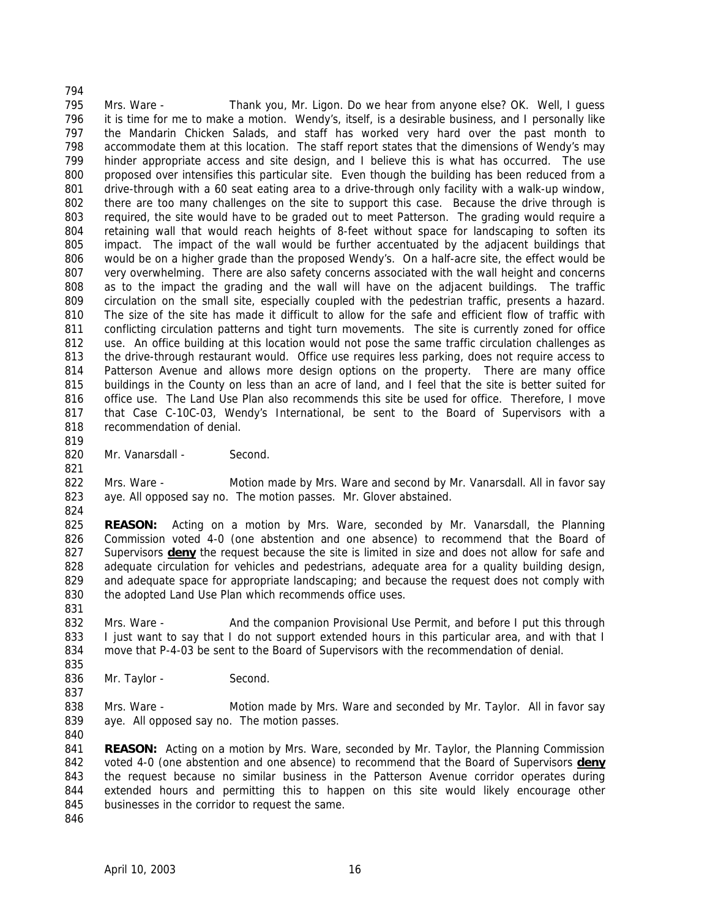Mrs. Ware - Thank you, Mr. Ligon. Do we hear from anyone else? OK. Well, I guess it is time for me to make a motion. Wendy's, itself, is a desirable business, and I personally like the Mandarin Chicken Salads, and staff has worked very hard over the past month to accommodate them at this location. The staff report states that the dimensions of Wendy's may hinder appropriate access and site design, and I believe this is what has occurred. The use proposed over intensifies this particular site. Even though the building has been reduced from a drive-through with a 60 seat eating area to a drive-through only facility with a walk-up window, there are too many challenges on the site to support this case. Because the drive through is required, the site would have to be graded out to meet Patterson. The grading would require a retaining wall that would reach heights of 8-feet without space for landscaping to soften its impact. The impact of the wall would be further accentuated by the adjacent buildings that would be on a higher grade than the proposed Wendy's. On a half-acre site, the effect would be very overwhelming. There are also safety concerns associated with the wall height and concerns as to the impact the grading and the wall will have on the adjacent buildings. The traffic circulation on the small site, especially coupled with the pedestrian traffic, presents a hazard. The size of the site has made it difficult to allow for the safe and efficient flow of traffic with conflicting circulation patterns and tight turn movements. The site is currently zoned for office use. An office building at this location would not pose the same traffic circulation challenges as 813 the drive-through restaurant would. Office use requires less parking, does not require access to Patterson Avenue and allows more design options on the property. There are many office buildings in the County on less than an acre of land, and I feel that the site is better suited for office use. The Land Use Plan also recommends this site be used for office. Therefore, I move that Case C-10C-03, Wendy's International, be sent to the Board of Supervisors with a recommendation of denial.

820 Mr. Vanarsdall - Second.

 Mrs. Ware - Motion made by Mrs. Ware and second by Mr. Vanarsdall. All in favor say aye. All opposed say no. The motion passes. Mr. Glover abstained.

 **REASON:** Acting on a motion by Mrs. Ware, seconded by Mr. Vanarsdall, the Planning Commission voted 4-0 (one abstention and one absence) to recommend that the Board of Supervisors **deny** the request because the site is limited in size and does not allow for safe and adequate circulation for vehicles and pedestrians, adequate area for a quality building design, and adequate space for appropriate landscaping; and because the request does not comply with 830 the adopted Land Use Plan which recommends office uses.

832 Mrs. Ware - And the companion Provisional Use Permit, and before I put this through 833 I just want to say that I do not support extended hours in this particular area, and with that I move that P-4-03 be sent to the Board of Supervisors with the recommendation of denial.

836 Mr. Taylor - Second.

838 Mrs. Ware - Motion made by Mrs. Ware and seconded by Mr. Taylor. All in favor say aye. All opposed say no. The motion passes.

 **REASON:** Acting on a motion by Mrs. Ware, seconded by Mr. Taylor, the Planning Commission voted 4-0 (one abstention and one absence) to recommend that the Board of Supervisors **deny** the request because no similar business in the Patterson Avenue corridor operates during extended hours and permitting this to happen on this site would likely encourage other businesses in the corridor to request the same. 

April 10, 2003 16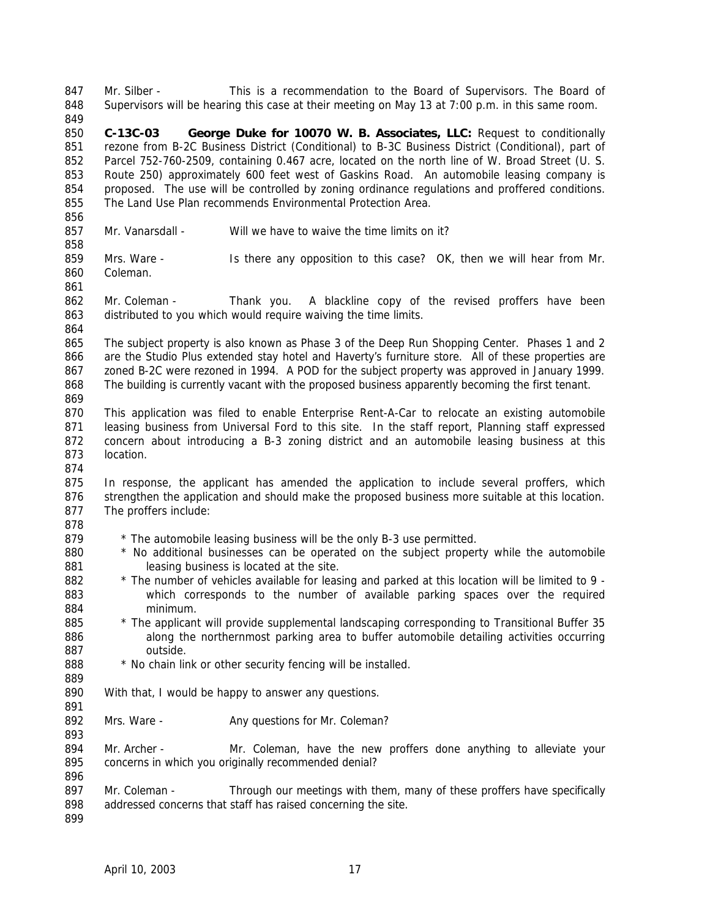Mr. Silber - This is a recommendation to the Board of Supervisors. The Board of Supervisors will be hearing this case at their meeting on May 13 at 7:00 p.m. in this same room. **C-13C-03 George Duke for 10070 W. B. Associates, LLC:** Request to conditionally rezone from B-2C Business District (Conditional) to B-3C Business District (Conditional), part of Parcel 752-760-2509, containing 0.467 acre, located on the north line of W. Broad Street (U. S. Route 250) approximately 600 feet west of Gaskins Road. An automobile leasing company is proposed. The use will be controlled by zoning ordinance regulations and proffered conditions. The Land Use Plan recommends Environmental Protection Area. 857 Mr. Vanarsdall - Will we have to waive the time limits on it? Mrs. Ware - Is there any opposition to this case? OK, then we will hear from Mr. Coleman. Mr. Coleman - Thank you. A blackline copy of the revised proffers have been distributed to you which would require waiving the time limits. The subject property is also known as Phase 3 of the Deep Run Shopping Center. Phases 1 and 2 866 are the Studio Plus extended stay hotel and Haverty's furniture store. All of these properties are zoned B-2C were rezoned in 1994. A POD for the subject property was approved in January 1999. The building is currently vacant with the proposed business apparently becoming the first tenant. This application was filed to enable Enterprise Rent-A-Car to relocate an existing automobile 871 leasing business from Universal Ford to this site. In the staff report, Planning staff expressed concern about introducing a B-3 zoning district and an automobile leasing business at this location. 875 In response, the applicant has amended the application to include several proffers, which 876 strengthen the application and should make the proposed business more suitable at this location. The proffers include: 879 \* The automobile leasing business will be the only B-3 use permitted. \* No additional businesses can be operated on the subject property while the automobile 881 leasing business is located at the site. \* The number of vehicles available for leasing and parked at this location will be limited to 9 - which corresponds to the number of available parking spaces over the required minimum. \* The applicant will provide supplemental landscaping corresponding to Transitional Buffer 35 886 along the northernmost parking area to buffer automobile detailing activities occurring outside. 888 \* No chain link or other security fencing will be installed. With that, I would be happy to answer any questions. 892 Mrs. Ware - Any questions for Mr. Coleman? Mr. Archer - Mr. Coleman, have the new proffers done anything to alleviate your concerns in which you originally recommended denial? 897 Mr. Coleman - Through our meetings with them, many of these proffers have specifically addressed concerns that staff has raised concerning the site.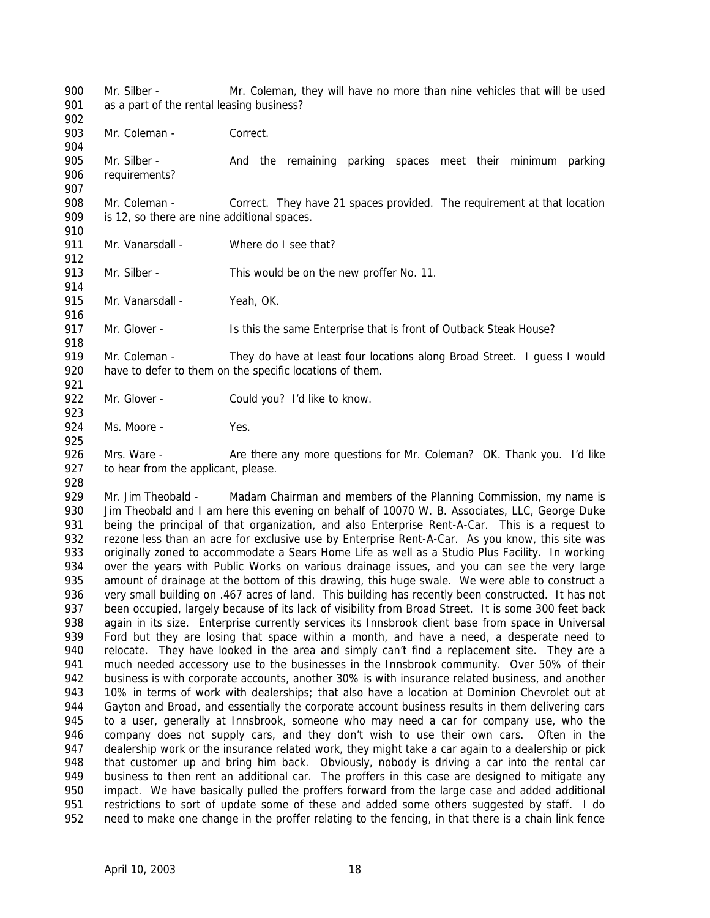Mr. Silber - Mr. Coleman, they will have no more than nine vehicles that will be used as a part of the rental leasing business? 903 Mr. Coleman - Correct. 905 Mr. Silber - And the remaining parking spaces meet their minimum parking

requirements?

- Mr. Coleman Correct. They have 21 spaces provided. The requirement at that location is 12, so there are nine additional spaces.
- 911 Mr. Vanarsdall Where do I see that?

913 Mr. Silber - This would be on the new proffer No. 11. 

915 Mr. Vanarsdall - Yeah, OK. 

Mr. Glover - Is this the same Enterprise that is front of Outback Steak House?

919 Mr. Coleman - They do have at least four locations along Broad Street. I guess I would have to defer to them on the specific locations of them. 

922 Mr. Glover - Could you? I'd like to know.

924 Ms. Moore - Yes.

926 Mrs. Ware - Are there any more questions for Mr. Coleman? OK. Thank you. I'd like 927 to hear from the applicant, please.

929 Mr. Jim Theobald - Madam Chairman and members of the Planning Commission, my name is Jim Theobald and I am here this evening on behalf of 10070 W. B. Associates, LLC, George Duke being the principal of that organization, and also Enterprise Rent-A-Car. This is a request to rezone less than an acre for exclusive use by Enterprise Rent-A-Car. As you know, this site was originally zoned to accommodate a Sears Home Life as well as a Studio Plus Facility. In working over the years with Public Works on various drainage issues, and you can see the very large amount of drainage at the bottom of this drawing, this huge swale. We were able to construct a very small building on .467 acres of land. This building has recently been constructed. It has not been occupied, largely because of its lack of visibility from Broad Street. It is some 300 feet back again in its size. Enterprise currently services its Innsbrook client base from space in Universal Ford but they are losing that space within a month, and have a need, a desperate need to 940 relocate. They have looked in the area and simply can't find a replacement site. They are a much needed accessory use to the businesses in the Innsbrook community. Over 50% of their business is with corporate accounts, another 30% is with insurance related business, and another 10% in terms of work with dealerships; that also have a location at Dominion Chevrolet out at Gayton and Broad, and essentially the corporate account business results in them delivering cars to a user, generally at Innsbrook, someone who may need a car for company use, who the company does not supply cars, and they don't wish to use their own cars. Often in the dealership work or the insurance related work, they might take a car again to a dealership or pick that customer up and bring him back. Obviously, nobody is driving a car into the rental car 949 business to then rent an additional car. The proffers in this case are designed to mitigate any impact. We have basically pulled the proffers forward from the large case and added additional restrictions to sort of update some of these and added some others suggested by staff. I do need to make one change in the proffer relating to the fencing, in that there is a chain link fence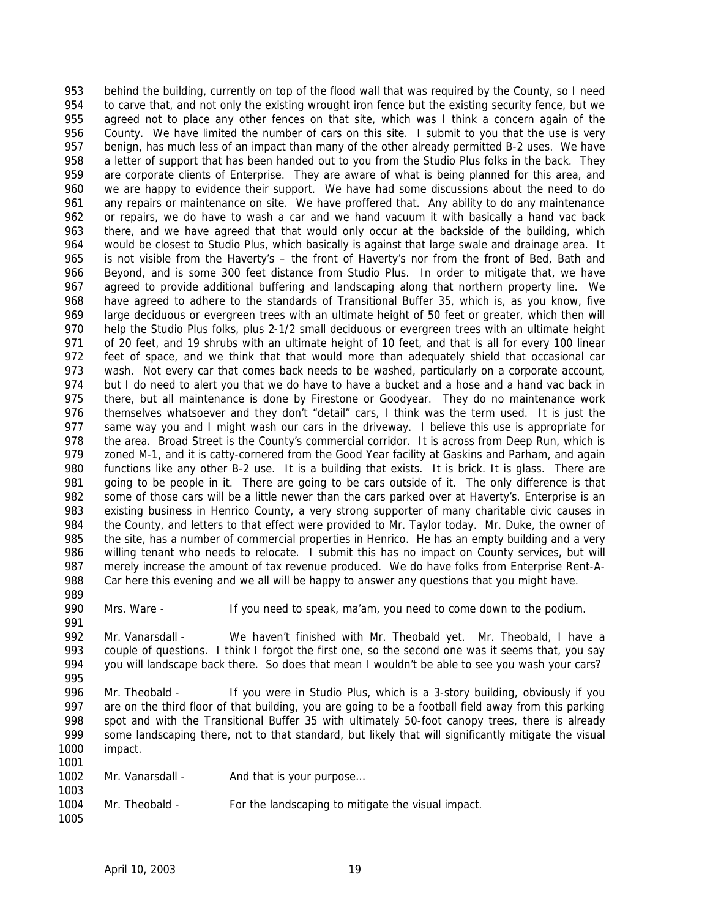behind the building, currently on top of the flood wall that was required by the County, so I need to carve that, and not only the existing wrought iron fence but the existing security fence, but we agreed not to place any other fences on that site, which was I think a concern again of the County. We have limited the number of cars on this site. I submit to you that the use is very benign, has much less of an impact than many of the other already permitted B-2 uses. We have a letter of support that has been handed out to you from the Studio Plus folks in the back. They are corporate clients of Enterprise. They are aware of what is being planned for this area, and we are happy to evidence their support. We have had some discussions about the need to do any repairs or maintenance on site. We have proffered that. Any ability to do any maintenance or repairs, we do have to wash a car and we hand vacuum it with basically a hand vac back there, and we have agreed that that would only occur at the backside of the building, which would be closest to Studio Plus, which basically is against that large swale and drainage area. It is not visible from the Haverty's – the front of Haverty's nor from the front of Bed, Bath and Beyond, and is some 300 feet distance from Studio Plus. In order to mitigate that, we have agreed to provide additional buffering and landscaping along that northern property line. We have agreed to adhere to the standards of Transitional Buffer 35, which is, as you know, five large deciduous or evergreen trees with an ultimate height of 50 feet or greater, which then will help the Studio Plus folks, plus 2-1/2 small deciduous or evergreen trees with an ultimate height of 20 feet, and 19 shrubs with an ultimate height of 10 feet, and that is all for every 100 linear 972 feet of space, and we think that that would more than adequately shield that occasional car wash. Not every car that comes back needs to be washed, particularly on a corporate account, 974 but I do need to alert you that we do have to have a bucket and a hose and a hand vac back in there, but all maintenance is done by Firestone or Goodyear. They do no maintenance work themselves whatsoever and they don't "detail" cars, I think was the term used. It is just the 977 same way you and I might wash our cars in the driveway. I believe this use is appropriate for 978 the area. Broad Street is the County's commercial corridor. It is across from Deep Run, which is 979 zoned M-1, and it is catty-cornered from the Good Year facility at Gaskins and Parham, and again functions like any other B-2 use. It is a building that exists. It is brick. It is glass. There are going to be people in it. There are going to be cars outside of it. The only difference is that 982 some of those cars will be a little newer than the cars parked over at Haverty's. Enterprise is an existing business in Henrico County, a very strong supporter of many charitable civic causes in the County, and letters to that effect were provided to Mr. Taylor today. Mr. Duke, the owner of the site, has a number of commercial properties in Henrico. He has an empty building and a very willing tenant who needs to relocate. I submit this has no impact on County services, but will merely increase the amount of tax revenue produced. We do have folks from Enterprise Rent-A- Car here this evening and we all will be happy to answer any questions that you might have. 

Mrs. Ware - If you need to speak, ma'am, you need to come down to the podium.

- Mr. Vanarsdall We haven't finished with Mr. Theobald yet. Mr. Theobald, I have a 993 couple of questions. I think I forgot the first one, so the second one was it seems that, you say you will landscape back there. So does that mean I wouldn't be able to see you wash your cars?
- 996 Mr. Theobald If you were in Studio Plus, which is a 3-story building, obviously if you are on the third floor of that building, you are going to be a football field away from this parking spot and with the Transitional Buffer 35 with ultimately 50-foot canopy trees, there is already some landscaping there, not to that standard, but likely that will significantly mitigate the visual impact.

| 1001 |                  |                                                    |
|------|------------------|----------------------------------------------------|
| 1002 | Mr. Vanarsdall - | And that is your purpose                           |
| 1003 |                  |                                                    |
| 1004 | Mr. Theobald -   | For the landscaping to mitigate the visual impact. |
| 1005 |                  |                                                    |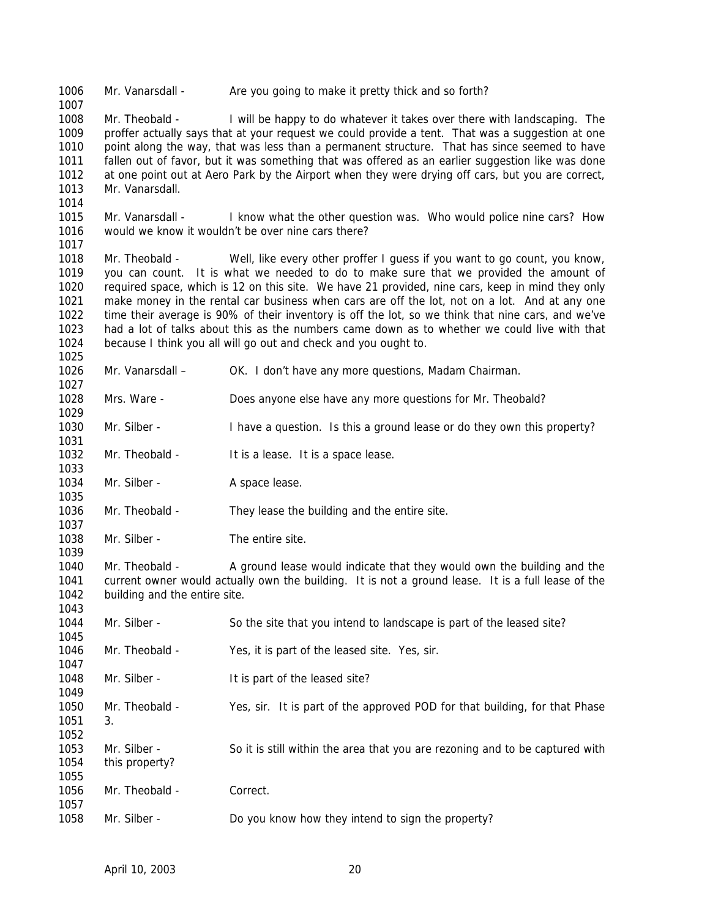Mr. Vanarsdall - Are you going to make it pretty thick and so forth? Mr. Theobald - I will be happy to do whatever it takes over there with landscaping. The proffer actually says that at your request we could provide a tent. That was a suggestion at one point along the way, that was less than a permanent structure. That has since seemed to have fallen out of favor, but it was something that was offered as an earlier suggestion like was done at one point out at Aero Park by the Airport when they were drying off cars, but you are correct, Mr. Vanarsdall. Mr. Vanarsdall - I know what the other question was. Who would police nine cars? How would we know it wouldn't be over nine cars there? Mr. Theobald - Well, like every other proffer I guess if you want to go count, you know, you can count. It is what we needed to do to make sure that we provided the amount of required space, which is 12 on this site. We have 21 provided, nine cars, keep in mind they only make money in the rental car business when cars are off the lot, not on a lot. And at any one time their average is 90% of their inventory is off the lot, so we think that nine cars, and we've had a lot of talks about this as the numbers came down as to whether we could live with that because I think you all will go out and check and you ought to. Mr. Vanarsdall – OK. I don't have any more questions, Madam Chairman. Mrs. Ware - Does anyone else have any more questions for Mr. Theobald? 1030 Mr. Silber - I have a question. Is this a ground lease or do they own this property? 1032 Mr. Theobald - It is a lease. It is a space lease. 1034 Mr. Silber - A space lease. Mr. Theobald - They lease the building and the entire site. 1038 Mr. Silber - The entire site. 1040 Mr. Theobald - A ground lease would indicate that they would own the building and the current owner would actually own the building. It is not a ground lease. It is a full lease of the building and the entire site. 1044 Mr. Silber - So the site that you intend to landscape is part of the leased site? Mr. Theobald - Yes, it is part of the leased site. Yes, sir. 1048 Mr. Silber - It is part of the leased site? Mr. Theobald - Yes, sir. It is part of the approved POD for that building, for that Phase 3. Mr. Silber - So it is still within the area that you are rezoning and to be captured with this property? 1056 Mr. Theobald - Correct. Mr. Silber - Do you know how they intend to sign the property?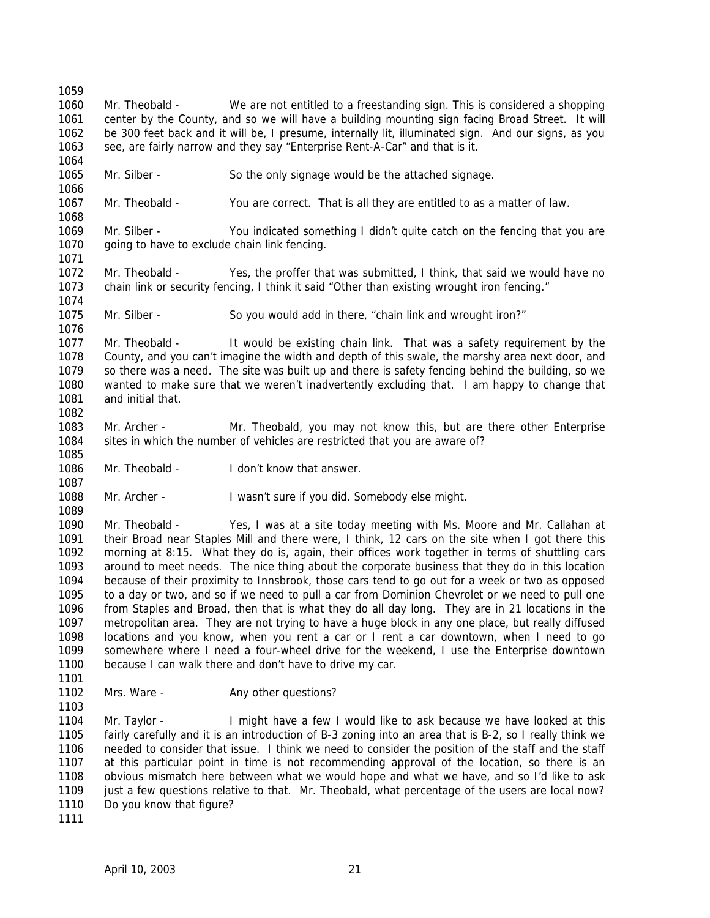Mr. Theobald - We are not entitled to a freestanding sign. This is considered a shopping center by the County, and so we will have a building mounting sign facing Broad Street. It will be 300 feet back and it will be, I presume, internally lit, illuminated sign. And our signs, as you 1063 see, are fairly narrow and they say "Enterprise Rent-A-Car" and that is it. Mr. Silber - So the only signage would be the attached signage. Mr. Theobald - You are correct. That is all they are entitled to as a matter of law. Mr. Silber - You indicated something I didn't quite catch on the fencing that you are going to have to exclude chain link fencing. Mr. Theobald - Yes, the proffer that was submitted, I think, that said we would have no chain link or security fencing, I think it said "Other than existing wrought iron fencing." Mr. Silber - So you would add in there, "chain link and wrought iron?" Mr. Theobald - It would be existing chain link. That was a safety requirement by the County, and you can't imagine the width and depth of this swale, the marshy area next door, and so there was a need. The site was built up and there is safety fencing behind the building, so we wanted to make sure that we weren't inadvertently excluding that. I am happy to change that and initial that. Mr. Archer - Mr. Theobald, you may not know this, but are there other Enterprise sites in which the number of vehicles are restricted that you are aware of? Mr. Theobald - I don't know that answer. Mr. Archer - I wasn't sure if you did. Somebody else might. Mr. Theobald - Yes, I was at a site today meeting with Ms. Moore and Mr. Callahan at their Broad near Staples Mill and there were, I think, 12 cars on the site when I got there this morning at 8:15. What they do is, again, their offices work together in terms of shuttling cars around to meet needs. The nice thing about the corporate business that they do in this location because of their proximity to Innsbrook, those cars tend to go out for a week or two as opposed to a day or two, and so if we need to pull a car from Dominion Chevrolet or we need to pull one from Staples and Broad, then that is what they do all day long. They are in 21 locations in the metropolitan area. They are not trying to have a huge block in any one place, but really diffused locations and you know, when you rent a car or I rent a car downtown, when I need to go somewhere where I need a four-wheel drive for the weekend, I use the Enterprise downtown 1100 because I can walk there and don't have to drive my car. 1102 Mrs. Ware - Any other questions? 1104 Mr. Taylor - I might have a few I would like to ask because we have looked at this fairly carefully and it is an introduction of B-3 zoning into an area that is B-2, so I really think we needed to consider that issue. I think we need to consider the position of the staff and the staff at this particular point in time is not recommending approval of the location, so there is an obvious mismatch here between what we would hope and what we have, and so I'd like to ask 1109 just a few questions relative to that. Mr. Theobald, what percentage of the users are local now? 1110 Do you know that figure?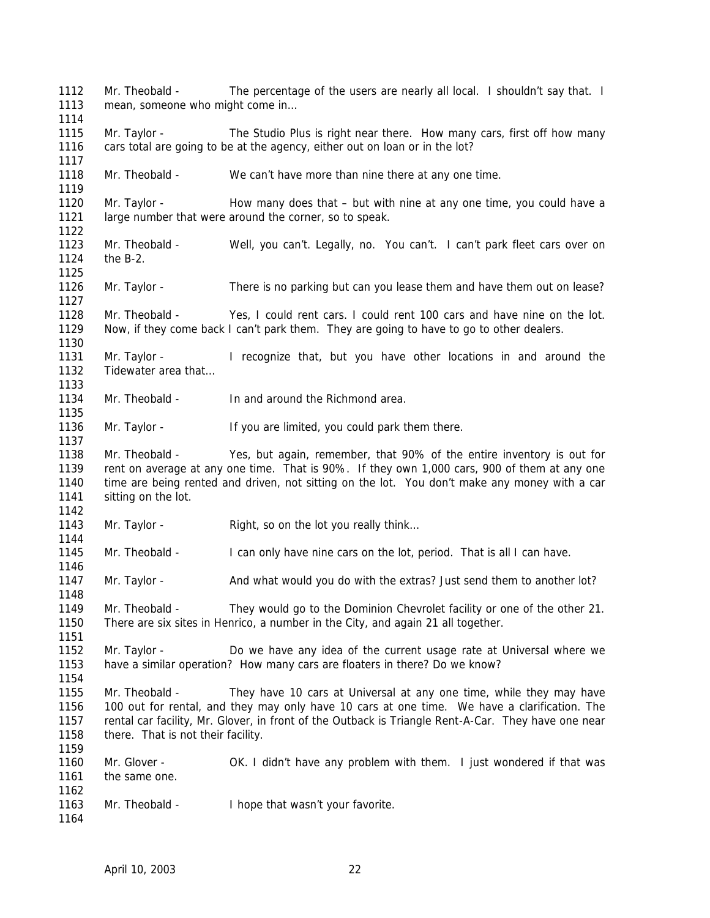Mr. Theobald - The percentage of the users are nearly all local. I shouldn't say that. I 1113 mean, someone who might come in... 1115 Mr. Taylor - The Studio Plus is right near there. How many cars, first off how many cars total are going to be at the agency, either out on loan or in the lot? Mr. Theobald - We can't have more than nine there at any one time. 1120 Mr. Taylor - How many does that – but with nine at any one time, you could have a large number that were around the corner, so to speak. Mr. Theobald - Well, you can't. Legally, no. You can't. I can't park fleet cars over on the B-2. 1126 Mr. Taylor - There is no parking but can you lease them and have them out on lease? Mr. Theobald - Yes, I could rent cars. I could rent 100 cars and have nine on the lot. Now, if they come back I can't park them. They are going to have to go to other dealers. Mr. Taylor - I recognize that, but you have other locations in and around the 1132 Tidewater area that... Mr. Theobald - In and around the Richmond area. 1136 Mr. Taylor - If you are limited, you could park them there. Mr. Theobald - Yes, but again, remember, that 90% of the entire inventory is out for rent on average at any one time. That is 90%. If they own 1,000 cars, 900 of them at any one time are being rented and driven, not sitting on the lot. You don't make any money with a car 1141 sitting on the lot. 1143 Mr. Taylor - Right, so on the lot you really think... Mr. Theobald - I can only have nine cars on the lot, period. That is all I can have. 1147 Mr. Taylor - And what would you do with the extras? Just send them to another lot? Mr. Theobald - They would go to the Dominion Chevrolet facility or one of the other 21. There are six sites in Henrico, a number in the City, and again 21 all together. Mr. Taylor - Do we have any idea of the current usage rate at Universal where we have a similar operation? How many cars are floaters in there? Do we know? Mr. Theobald - They have 10 cars at Universal at any one time, while they may have 100 out for rental, and they may only have 10 cars at one time. We have a clarification. The rental car facility, Mr. Glover, in front of the Outback is Triangle Rent-A-Car. They have one near 1158 there. That is not their facility. Mr. Glover - OK. I didn't have any problem with them. I just wondered if that was the same one. Mr. Theobald - I hope that wasn't your favorite.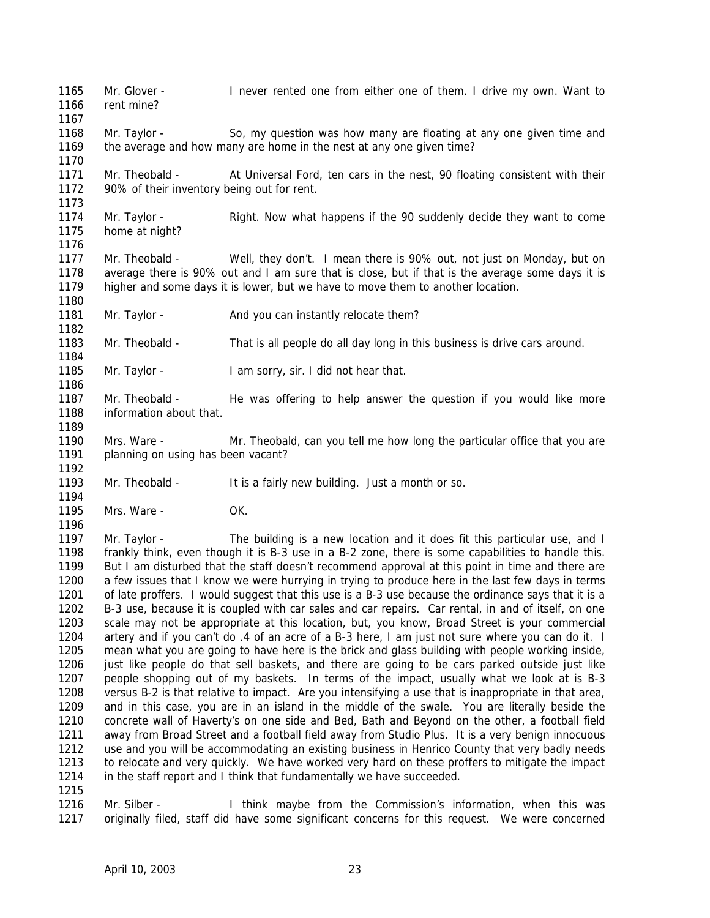Mr. Glover - I never rented one from either one of them. I drive my own. Want to rent mine? Mr. Taylor - So, my question was how many are floating at any one given time and the average and how many are home in the nest at any one given time? Mr. Theobald - At Universal Ford, ten cars in the nest, 90 floating consistent with their 90% of their inventory being out for rent. Mr. Taylor - Right. Now what happens if the 90 suddenly decide they want to come home at night? Mr. Theobald - Well, they don't. I mean there is 90% out, not just on Monday, but on average there is 90% out and I am sure that is close, but if that is the average some days it is higher and some days it is lower, but we have to move them to another location. 1181 Mr. Taylor - And you can instantly relocate them? Mr. Theobald - That is all people do all day long in this business is drive cars around. Mr. Taylor - I am sorry, sir. I did not hear that. Mr. Theobald - He was offering to help answer the question if you would like more information about that. Mrs. Ware - Mr. Theobald, can you tell me how long the particular office that you are 1191 planning on using has been vacant? 1193 Mr. Theobald - It is a fairly new building. Just a month or so. Mrs. Ware - OK. 1197 Mr. Taylor - The building is a new location and it does fit this particular use, and I frankly think, even though it is B-3 use in a B-2 zone, there is some capabilities to handle this. But I am disturbed that the staff doesn't recommend approval at this point in time and there are a few issues that I know we were hurrying in trying to produce here in the last few days in terms of late proffers. I would suggest that this use is a B-3 use because the ordinance says that it is a B-3 use, because it is coupled with car sales and car repairs. Car rental, in and of itself, on one scale may not be appropriate at this location, but, you know, Broad Street is your commercial artery and if you can't do .4 of an acre of a B-3 here, I am just not sure where you can do it. I mean what you are going to have here is the brick and glass building with people working inside, just like people do that sell baskets, and there are going to be cars parked outside just like people shopping out of my baskets. In terms of the impact, usually what we look at is B-3 versus B-2 is that relative to impact. Are you intensifying a use that is inappropriate in that area, and in this case, you are in an island in the middle of the swale. You are literally beside the concrete wall of Haverty's on one side and Bed, Bath and Beyond on the other, a football field away from Broad Street and a football field away from Studio Plus. It is a very benign innocuous use and you will be accommodating an existing business in Henrico County that very badly needs to relocate and very quickly. We have worked very hard on these proffers to mitigate the impact in the staff report and I think that fundamentally we have succeeded. 

 Mr. Silber - I think maybe from the Commission's information, when this was originally filed, staff did have some significant concerns for this request. We were concerned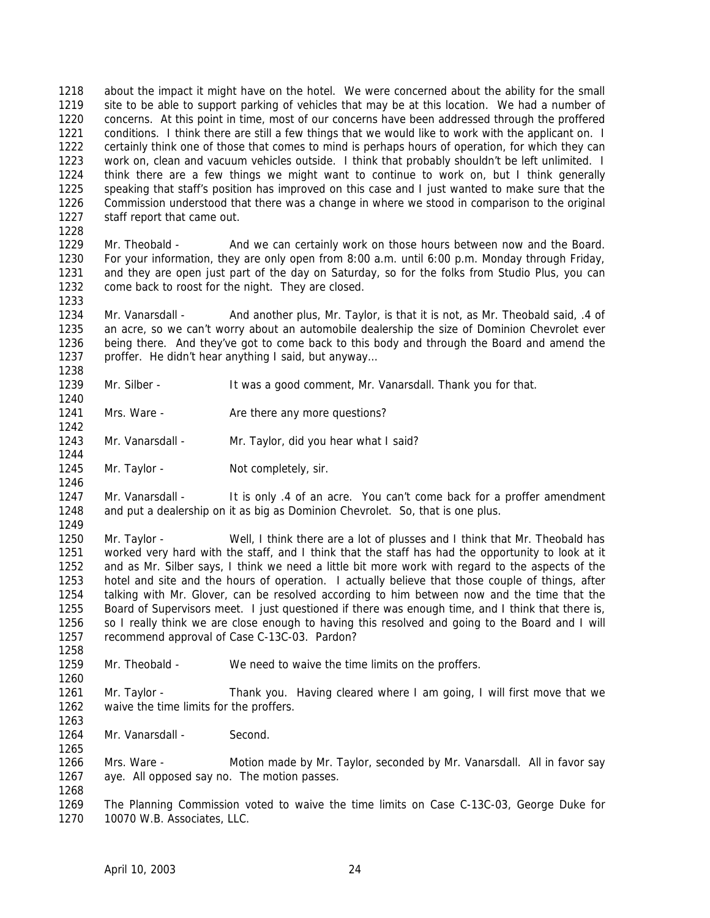about the impact it might have on the hotel. We were concerned about the ability for the small site to be able to support parking of vehicles that may be at this location. We had a number of concerns. At this point in time, most of our concerns have been addressed through the proffered 1221 conditions. I think there are still a few things that we would like to work with the applicant on. I certainly think one of those that comes to mind is perhaps hours of operation, for which they can work on, clean and vacuum vehicles outside. I think that probably shouldn't be left unlimited. I think there are a few things we might want to continue to work on, but I think generally speaking that staff's position has improved on this case and I just wanted to make sure that the Commission understood that there was a change in where we stood in comparison to the original staff report that came out. 

1229 Mr. Theobald - And we can certainly work on those hours between now and the Board. For your information, they are only open from 8:00 a.m. until 6:00 p.m. Monday through Friday, and they are open just part of the day on Saturday, so for the folks from Studio Plus, you can come back to roost for the night. They are closed.

1234 Mr. Vanarsdall - And another plus, Mr. Taylor, is that it is not, as Mr. Theobald said, .4 of an acre, so we can't worry about an automobile dealership the size of Dominion Chevrolet ever being there. And they've got to come back to this body and through the Board and amend the 1237 proffer. He didn't hear anything I said, but anyway...

Mr. Silber - It was a good comment, Mr. Vanarsdall. Thank you for that.

1241 Mrs. Ware - Are there any more questions?

1243 Mr. Vanarsdall - Mr. Taylor, did you hear what I said?

1245 Mr. Taylor - Not completely, sir.

1247 Mr. Vanarsdall - It is only .4 of an acre. You can't come back for a proffer amendment and put a dealership on it as big as Dominion Chevrolet. So, that is one plus. 

 Mr. Taylor - Well, I think there are a lot of plusses and I think that Mr. Theobald has worked very hard with the staff, and I think that the staff has had the opportunity to look at it and as Mr. Silber says, I think we need a little bit more work with regard to the aspects of the hotel and site and the hours of operation. I actually believe that those couple of things, after talking with Mr. Glover, can be resolved according to him between now and the time that the Board of Supervisors meet. I just questioned if there was enough time, and I think that there is, so I really think we are close enough to having this resolved and going to the Board and I will recommend approval of Case C-13C-03. Pardon?

Mr. Theobald - We need to waive the time limits on the proffers.

 Mr. Taylor - Thank you. Having cleared where I am going, I will first move that we waive the time limits for the proffers.

1264 Mr. Vanarsdall - Second.

 Mrs. Ware - Motion made by Mr. Taylor, seconded by Mr. Vanarsdall. All in favor say aye. All opposed say no. The motion passes. 

 The Planning Commission voted to waive the time limits on Case C-13C-03, George Duke for 10070 W.B. Associates, LLC.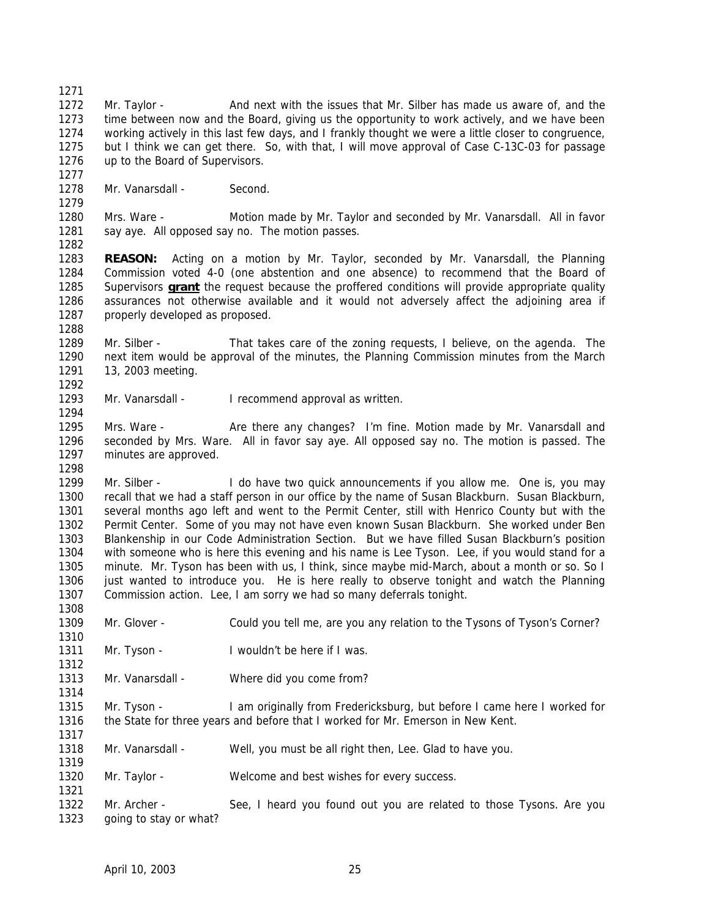Mr. Taylor - And next with the issues that Mr. Silber has made us aware of, and the time between now and the Board, giving us the opportunity to work actively, and we have been working actively in this last few days, and I frankly thought we were a little closer to congruence, but I think we can get there. So, with that, I will move approval of Case C-13C-03 for passage up to the Board of Supervisors.

1278 Mr. Vanarsdall - Second.

 Mrs. Ware - Motion made by Mr. Taylor and seconded by Mr. Vanarsdall. All in favor 1281 say aye. All opposed say no. The motion passes.

 **REASON:** Acting on a motion by Mr. Taylor, seconded by Mr. Vanarsdall, the Planning Commission voted 4-0 (one abstention and one absence) to recommend that the Board of Supervisors **grant** the request because the proffered conditions will provide appropriate quality assurances not otherwise available and it would not adversely affect the adjoining area if 1287 properly developed as proposed.

 Mr. Silber - That takes care of the zoning requests, I believe, on the agenda. The next item would be approval of the minutes, the Planning Commission minutes from the March 13, 2003 meeting. 

1293 Mr. Vanarsdall - I recommend approval as written.

1295 Mrs. Ware - Are there any changes? I'm fine. Motion made by Mr. Vanarsdall and seconded by Mrs. Ware. All in favor say aye. All opposed say no. The motion is passed. The minutes are approved.

 Mr. Silber - I do have two quick announcements if you allow me. One is, you may recall that we had a staff person in our office by the name of Susan Blackburn. Susan Blackburn, several months ago left and went to the Permit Center, still with Henrico County but with the Permit Center. Some of you may not have even known Susan Blackburn. She worked under Ben Blankenship in our Code Administration Section. But we have filled Susan Blackburn's position with someone who is here this evening and his name is Lee Tyson. Lee, if you would stand for a minute. Mr. Tyson has been with us, I think, since maybe mid-March, about a month or so. So I just wanted to introduce you. He is here really to observe tonight and watch the Planning Commission action. Lee, I am sorry we had so many deferrals tonight.

Mr. Glover - Could you tell me, are you any relation to the Tysons of Tyson's Corner?

- 1311 Mr. Tyson I wouldn't be here if I was.
- Mr. Vanarsdall Where did you come from?

 Mr. Tyson - I am originally from Fredericksburg, but before I came here I worked for the State for three years and before that I worked for Mr. Emerson in New Kent.

- Mr. Vanarsdall Well, you must be all right then, Lee. Glad to have you.
- 1320 Mr. Taylor Welcome and best wishes for every success.

 Mr. Archer - See, I heard you found out you are related to those Tysons. Are you going to stay or what?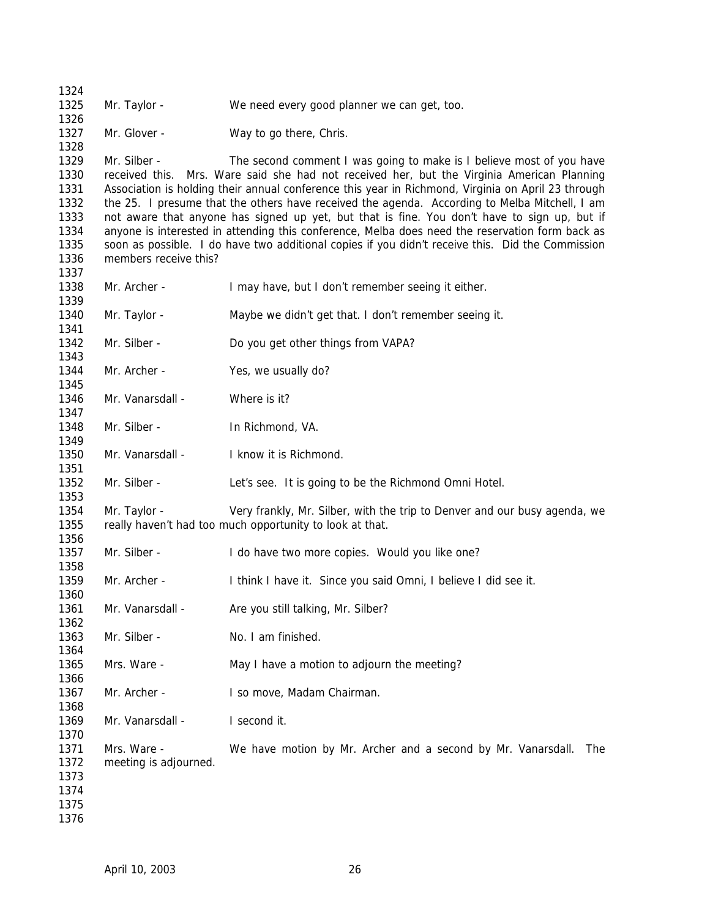Mr. Taylor - We need every good planner we can get, too. 1327 Mr. Glover - Way to go there, Chris. Mr. Silber - The second comment I was going to make is I believe most of you have received this. Mrs. Ware said she had not received her, but the Virginia American Planning Association is holding their annual conference this year in Richmond, Virginia on April 23 through the 25. I presume that the others have received the agenda. According to Melba Mitchell, I am not aware that anyone has signed up yet, but that is fine. You don't have to sign up, but if anyone is interested in attending this conference, Melba does need the reservation form back as soon as possible. I do have two additional copies if you didn't receive this. Did the Commission members receive this? 1338 Mr. Archer - I may have, but I don't remember seeing it either. Mr. Taylor - Maybe we didn't get that. I don't remember seeing it. Mr. Silber - Do you get other things from VAPA? 1344 Mr. Archer - Yes, we usually do? 1346 Mr. Vanarsdall - Where is it? 1348 Mr. Silber - In Richmond, VA. Mr. Vanarsdall - I know it is Richmond. Mr. Silber - Let's see. It is going to be the Richmond Omni Hotel. Mr. Taylor - Very frankly, Mr. Silber, with the trip to Denver and our busy agenda, we really haven't had too much opportunity to look at that. 1357 Mr. Silber - I do have two more copies. Would you like one? Mr. Archer - I think I have it. Since you said Omni, I believe I did see it. 1361 Mr. Vanarsdall - Are you still talking, Mr. Silber? 1363 Mr. Silber - No. I am finished. Mrs. Ware - May I have a motion to adjourn the meeting? 1367 Mr. Archer - I so move, Madam Chairman. 1369 Mr. Vanarsdall - I second it. Mrs. Ware - We have motion by Mr. Archer and a second by Mr. Vanarsdall. The meeting is adjourned.